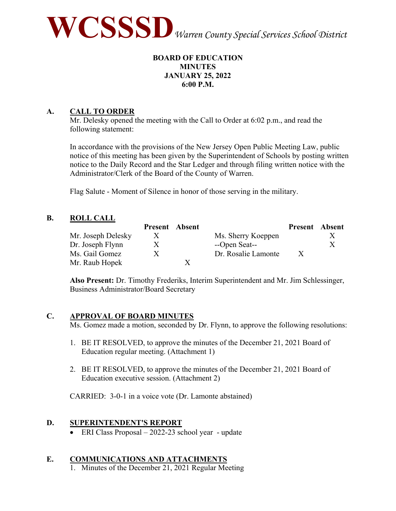

## **BOARD OF EDUCATION MINUTES JANUARY 25, 2022 6:00 P.M.**

# **A. CALL TO ORDER**

Mr. Delesky opened the meeting with the Call to Order at 6:02 p.m., and read the following statement:

In accordance with the provisions of the New Jersey Open Public Meeting Law, public notice of this meeting has been given by the Superintendent of Schools by posting written notice to the Daily Record and the Star Ledger and through filing written notice with the Administrator/Clerk of the Board of the County of Warren.

Flag Salute - Moment of Silence in honor of those serving in the military.

## **B. ROLL CALL**

|                    | <b>Present</b> Absent |                     | <b>Present</b> Absent |  |
|--------------------|-----------------------|---------------------|-----------------------|--|
| Mr. Joseph Delesky | X                     | Ms. Sherry Koeppen  |                       |  |
| Dr. Joseph Flynn   | X.                    | --Open Seat--       |                       |  |
| Ms. Gail Gomez     | X.                    | Dr. Rosalie Lamonte | $\mathbf{X}$          |  |
| Mr. Raub Hopek     |                       |                     |                       |  |

**Also Present:** Dr. Timothy Frederiks, Interim Superintendent and Mr. Jim Schlessinger, Business Administrator/Board Secretary

## **C. APPROVAL OF BOARD MINUTES**

Ms. Gomez made a motion, seconded by Dr. Flynn, to approve the following resolutions:

- 1. BE IT RESOLVED, to approve the minutes of the December 21, 2021 Board of Education regular meeting. (Attachment 1)
- 2. BE IT RESOLVED, to approve the minutes of the December 21, 2021 Board of Education executive session. (Attachment 2)

CARRIED: 3-0-1 in a voice vote (Dr. Lamonte abstained)

## **D. SUPERINTENDENT'S REPORT**

• ERI Class Proposal – 2022-23 school year - update

## **E. COMMUNICATIONS AND ATTACHMENTS**

1. Minutes of the December 21, 2021 Regular Meeting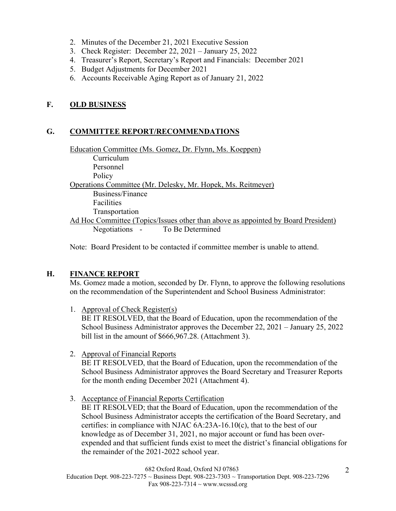- 2. Minutes of the December 21, 2021 Executive Session
- 3. Check Register: December 22, 2021 January 25, 2022
- 4. Treasurer's Report, Secretary's Report and Financials: December 2021
- 5. Budget Adjustments for December 2021
- 6. Accounts Receivable Aging Report as of January 21, 2022

## **F. OLD BUSINESS**

## **G. COMMITTEE REPORT/RECOMMENDATIONS**

Education Committee (Ms. Gomez, Dr. Flynn, Ms. Koeppen) Curriculum Personnel Policy Operations Committee (Mr. Delesky, Mr. Hopek, Ms. Reitmeyer) Business/Finance Facilities Transportation Ad Hoc Committee (Topics/Issues other than above as appointed by Board President) Negotiations - To Be Determined

Note: Board President to be contacted if committee member is unable to attend.

## **H. FINANCE REPORT**

Ms. Gomez made a motion, seconded by Dr. Flynn, to approve the following resolutions on the recommendation of the Superintendent and School Business Administrator:

1. Approval of Check Register(s)

BE IT RESOLVED, that the Board of Education, upon the recommendation of the School Business Administrator approves the December 22, 2021 – January 25, 2022 bill list in the amount of \$666,967.28. (Attachment 3).

2. Approval of Financial Reports

BE IT RESOLVED, that the Board of Education, upon the recommendation of the School Business Administrator approves the Board Secretary and Treasurer Reports for the month ending December 2021 (Attachment 4).

3. Acceptance of Financial Reports Certification

BE IT RESOLVED; that the Board of Education, upon the recommendation of the School Business Administrator accepts the certification of the Board Secretary, and certifies: in compliance with NJAC 6A:23A-16.10(c), that to the best of our knowledge as of December 31, 2021, no major account or fund has been overexpended and that sufficient funds exist to meet the district's financial obligations for the remainder of the 2021-2022 school year.

682 Oxford Road, Oxford NJ 07863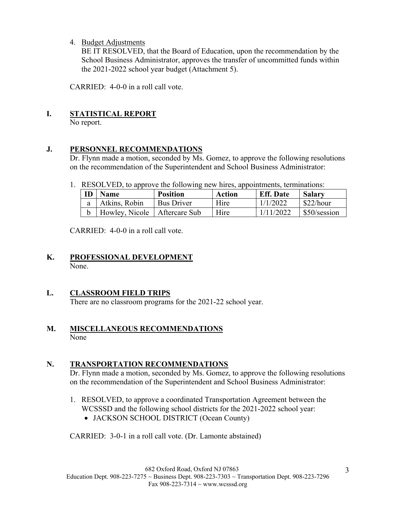## 4. Budget Adjustments

BE IT RESOLVED, that the Board of Education, upon the recommendation by the School Business Administrator, approves the transfer of uncommitted funds within the 2021-2022 school year budget (Attachment 5).

CARRIED: 4-0-0 in a roll call vote.

# **I. STATISTICAL REPORT**

No report.

## **J. PERSONNEL RECOMMENDATIONS**

Dr. Flynn made a motion, seconded by Ms. Gomez, to approve the following resolutions on the recommendation of the Superintendent and School Business Administrator:

1. RESOLVED, to approve the following new hires, appointments, terminations:

| ID | <b>Name</b>                    | <b>Position</b> | Action | <b>Eff.</b> Date | <b>Salary</b> |
|----|--------------------------------|-----------------|--------|------------------|---------------|
| a  | Atkins, Robin                  | Bus Driver      | Hire   | 1/1/2022         | \$22/hour     |
|    | Howley, Nicole   Aftercare Sub |                 | Hire   | 1/11/2022        | \$50/session  |

CARRIED: 4-0-0 in a roll call vote.

## **K. PROFESSIONAL DEVELOPMENT** None.

# **L. CLASSROOM FIELD TRIPS**

There are no classroom programs for the 2021-22 school year.

## **M. MISCELLANEOUS RECOMMENDATIONS**  None

## **N. TRANSPORTATION RECOMMENDATIONS**

Dr. Flynn made a motion, seconded by Ms. Gomez, to approve the following resolutions on the recommendation of the Superintendent and School Business Administrator:

- 1. RESOLVED, to approve a coordinated Transportation Agreement between the WCSSSD and the following school districts for the 2021-2022 school year:
	- JACKSON SCHOOL DISTRICT (Ocean County)

CARRIED: 3-0-1 in a roll call vote. (Dr. Lamonte abstained)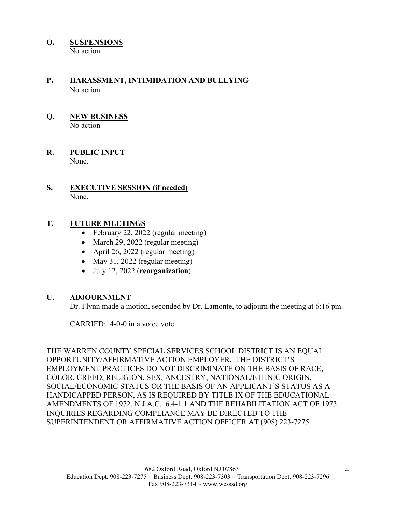**O. SUSPENSIONS** 

No action.

# **P. HARASSMENT, INTIMIDATION AND BULLYING**  No action.

## **Q. NEW BUSINESS**  No action

## **R. PUBLIC INPUT**  None.

## **S. EXECUTIVE SESSION (if needed)**  None.

# **T. FUTURE MEETINGS**

- February 22, 2022 (regular meeting)
- March 29, 2022 (regular meeting)
- April 26, 2022 (regular meeting)
- May 31, 2022 (regular meeting)
- July 12, 2022 (**reorganization**)

# **U. ADJOURNMENT**

Dr. Flynn made a motion, seconded by Dr. Lamonte, to adjourn the meeting at 6:16 pm.

CARRIED: 4-0-0 in a voice vote.

THE WARREN COUNTY SPECIAL SERVICES SCHOOL DISTRICT IS AN EQUAL OPPORTUNITY/AFFIRMATIVE ACTION EMPLOYER. THE DISTRICT'S EMPLOYMENT PRACTICES DO NOT DISCRIMINATE ON THE BASIS OF RACE, COLOR, CREED, RELIGION, SEX, ANCESTRY, NATIONAL/ETHNIC ORIGIN, SOCIAL/ECONOMIC STATUS OR THE BASIS OF AN APPLICANT'S STATUS AS A HANDICAPPED PERSON, AS IS REQUIRED BY TITLE IX OF THE EDUCATIONAL AMENDMENTS OF 1972, N.J.A.C. 6.4-1.1 AND THE REHABILITATION ACT OF 1973. INQUIRIES REGARDING COMPLIANCE MAY BE DIRECTED TO THE SUPERINTENDENT OR AFFIRMATIVE ACTION OFFICER AT (908) 223-7275.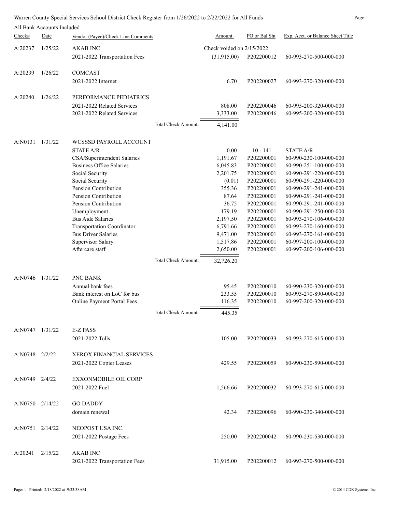|  | Warren County Special Services School District Check Register from 1/26/2022 to 2/22/2022 for All Funds | Page <sup>1</sup> |
|--|---------------------------------------------------------------------------------------------------------|-------------------|
|  |                                                                                                         |                   |

|                     | All Bank Accounts Included |                                    |                     |                             |               |                                   |
|---------------------|----------------------------|------------------------------------|---------------------|-----------------------------|---------------|-----------------------------------|
| Check#              | Date                       | Vendor (Payee)/Check Line Comments |                     | <u>Amount</u>               | PO or Bal Sht | Exp. Acct. or Balance Sheet Title |
| A:20237             | 1/25/22                    | <b>AKAB INC</b>                    |                     | Check voided on $2/15/2022$ |               |                                   |
|                     |                            | 2021-2022 Transportation Fees      |                     | (31,915.00)                 | P202200012    | 60-993-270-500-000-000            |
| A:20239             | 1/26/22                    | <b>COMCAST</b>                     |                     |                             |               |                                   |
|                     |                            | 2021-2022 Internet                 |                     | 6.70                        | P202200027    | 60-993-270-320-000-000            |
| A:20240             | 1/26/22                    | PERFORMANCE PEDIATRICS             |                     |                             |               |                                   |
|                     |                            | 2021-2022 Related Services         |                     | 808.00                      | P202200046    | 60-995-200-320-000-000            |
|                     |                            | 2021-2022 Related Services         |                     | 3,333.00                    | P202200046    | 60-995-200-320-000-000            |
|                     |                            |                                    | Total Check Amount: | 4,141.00                    |               |                                   |
| A:N0131             | 1/31/22                    | WCSSSD PAYROLL ACCOUNT             |                     |                             |               |                                   |
|                     |                            | <b>STATE A/R</b>                   |                     | 0.00                        | $10 - 141$    | <b>STATE A/R</b>                  |
|                     |                            | CSA/Superintendent Salaries        |                     | 1,191.67                    | P202200001    | 60-990-230-100-000-000            |
|                     |                            | <b>Business Office Salaries</b>    |                     | 6,045.83                    | P202200001    | 60-990-251-100-000-000            |
|                     |                            | Social Security                    |                     | 2,201.75                    | P202200001    | 60-990-291-220-000-000            |
|                     |                            | Social Security                    |                     | (0.01)                      | P202200001    | 60-990-291-220-000-000            |
|                     |                            | Pension Contribution               |                     | 355.36                      | P202200001    | 60-990-291-241-000-000            |
|                     |                            | Pension Contribution               |                     | 87.64                       | P202200001    | 60-990-291-241-000-000            |
|                     |                            | Pension Contribution               |                     | 36.75                       | P202200001    | 60-990-291-241-000-000            |
|                     |                            | Unemployment                       |                     | 179.19                      | P202200001    | 60-990-291-250-000-000            |
|                     |                            | <b>Bus Aide Salaries</b>           |                     | 2,197.50                    | P202200001    | 60-993-270-106-000-000            |
|                     |                            | <b>Transportation Coordinator</b>  |                     | 6,791.66                    | P202200001    | 60-993-270-160-000-000            |
|                     |                            | <b>Bus Driver Salaries</b>         |                     | 9,471.00                    | P202200001    | 60-993-270-161-000-000            |
|                     |                            | Supervisor Salary                  |                     | 1,517.86                    | P202200001    | 60-997-200-100-000-000            |
|                     |                            | Aftercare staff                    |                     | 2,650.00                    | P202200001    | 60-997-200-106-000-000            |
|                     |                            |                                    | Total Check Amount: | 32,726.20                   |               |                                   |
| A:N0746             | 1/31/22                    | PNC BANK                           |                     |                             |               |                                   |
|                     |                            | Annual bank fees                   |                     | 95.45                       | P202200010    | 60-990-230-320-000-000            |
|                     |                            | Bank interest on LoC for bus       |                     | 233.55                      | P202200010    | 60-993-270-890-000-000            |
|                     |                            | Online Payment Portal Fees         |                     | 116.35                      | P202200010    | 60-997-200-320-000-000            |
|                     |                            |                                    | Total Check Amount: | 445.35                      |               |                                   |
| A:N0747 1/31/22     |                            | <b>E-Z PASS</b>                    |                     |                             |               |                                   |
|                     |                            | 2021-2022 Tolls                    |                     | 105.00                      | P202200033    | 60-993-270-615-000-000            |
| A:N0748 2/2/22      |                            | XEROX FINANCIAL SERVICES           |                     |                             |               |                                   |
|                     |                            | 2021-2022 Copier Leases            |                     | 429.55                      | P202200059    | 60-990-230-590-000-000            |
| A:N0749 2/4/22      |                            | <b>EXXONMOBILE OIL CORP</b>        |                     |                             |               |                                   |
|                     |                            | 2021-2022 Fuel                     |                     | 1,566.66                    | P202200032    | 60-993-270-615-000-000            |
| $A:NO750$ $2/14/22$ |                            | <b>GO DADDY</b>                    |                     |                             |               |                                   |
|                     |                            | domain renewal                     |                     | 42.34                       | P202200096    | 60-990-230-340-000-000            |
| A:N0751 2/14/22     |                            | NEOPOST USA INC.                   |                     |                             |               |                                   |
|                     |                            | 2021-2022 Postage Fees             |                     | 250.00                      | P202200042    | 60-990-230-530-000-000            |
| A:20241             | 2/15/22                    | <b>AKAB INC</b>                    |                     |                             |               |                                   |
|                     |                            | 2021-2022 Transportation Fees      |                     | 31,915.00                   | P202200012    | 60-993-270-500-000-000            |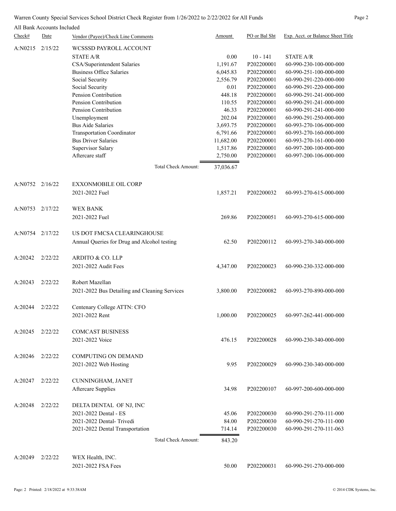## Warren County Special Services School District Check Register from 1/26/2022 to 2/22/2022 for All Funds Page 2

|                 |                            | warren County Special Services School District Check Register from 1/20/2022 to 2/22/2022 for All Punus |               |               |                                   |
|-----------------|----------------------------|---------------------------------------------------------------------------------------------------------|---------------|---------------|-----------------------------------|
|                 | All Bank Accounts Included |                                                                                                         |               |               |                                   |
| Check#          | Date                       | Vendor (Payee)/Check Line Comments                                                                      | <b>Amount</b> | PO or Bal Sht | Exp. Acct. or Balance Sheet Title |
| A:N0215 2/15/22 |                            | WCSSSD PAYROLL ACCOUNT                                                                                  |               |               |                                   |
|                 |                            | <b>STATE A/R</b>                                                                                        | 0.00          | $10 - 141$    | <b>STATE A/R</b>                  |
|                 |                            | CSA/Superintendent Salaries                                                                             | 1,191.67      | P202200001    | 60-990-230-100-000-000            |
|                 |                            | <b>Business Office Salaries</b>                                                                         | 6,045.83      | P202200001    | 60-990-251-100-000-000            |
|                 |                            | Social Security                                                                                         | 2,556.79      | P202200001    | 60-990-291-220-000-000            |
|                 |                            | Social Security                                                                                         | 0.01          | P202200001    | 60-990-291-220-000-000            |
|                 |                            | Pension Contribution                                                                                    | 448.18        | P202200001    | 60-990-291-241-000-000            |
|                 |                            | Pension Contribution                                                                                    | 110.55        | P202200001    | 60-990-291-241-000-000            |
|                 |                            | Pension Contribution                                                                                    | 46.33         | P202200001    | 60-990-291-241-000-000            |
|                 |                            | Unemployment                                                                                            | 202.04        | P202200001    | 60-990-291-250-000-000            |
|                 |                            | <b>Bus Aide Salaries</b>                                                                                | 3,693.75      | P202200001    | 60-993-270-106-000-000            |
|                 |                            | <b>Transportation Coordinator</b>                                                                       | 6,791.66      | P202200001    | 60-993-270-160-000-000            |
|                 |                            | <b>Bus Driver Salaries</b>                                                                              | 11,682.00     | P202200001    | 60-993-270-161-000-000            |
|                 |                            | Supervisor Salary                                                                                       | 1,517.86      | P202200001    | 60-997-200-100-000-000            |
|                 |                            | Aftercare staff                                                                                         | 2,750.00      | P202200001    | 60-997-200-106-000-000            |
|                 |                            | <b>Total Check Amount:</b>                                                                              | 37,036.67     |               |                                   |
|                 |                            |                                                                                                         |               |               |                                   |
| A:N0752 2/16/22 |                            | <b>EXXONMOBILE OIL CORP</b>                                                                             |               |               |                                   |
|                 |                            | 2021-2022 Fuel                                                                                          | 1,857.21      | P202200032    | 60-993-270-615-000-000            |
|                 |                            |                                                                                                         |               |               |                                   |
| A:N0753         | 2/17/22                    | <b>WEX BANK</b>                                                                                         |               |               |                                   |
|                 |                            | 2021-2022 Fuel                                                                                          | 269.86        | P202200051    | 60-993-270-615-000-000            |
|                 |                            |                                                                                                         |               |               |                                   |
| A:N0754 2/17/22 |                            | US DOT FMCSA CLEARINGHOUSE                                                                              |               |               |                                   |
|                 |                            | Annual Queries for Drug and Alcohol testing                                                             | 62.50         | P202200112    | 60-993-270-340-000-000            |
|                 |                            |                                                                                                         |               |               |                                   |
| A:20242         | 2/22/22                    | ARDITO & CO. LLP                                                                                        |               |               |                                   |
|                 |                            | 2021-2022 Audit Fees                                                                                    | 4,347.00      | P202200023    | 60-990-230-332-000-000            |
|                 |                            |                                                                                                         |               |               |                                   |
| A:20243         | 2/22/22                    | Robert Mazellan                                                                                         |               |               |                                   |
|                 |                            | 2021-2022 Bus Detailing and Cleaning Services                                                           | 3,800.00      | P202200082    | 60-993-270-890-000-000            |
|                 |                            |                                                                                                         |               |               |                                   |
| A:20244         | 2/22/22                    | Centenary College ATTN: CFO                                                                             |               |               |                                   |
|                 |                            | 2021-2022 Rent                                                                                          | 1,000.00      | P202200025    | 60-997-262-441-000-000            |
|                 |                            |                                                                                                         |               |               |                                   |
| A:20245         | 2/22/22                    | <b>COMCAST BUSINESS</b>                                                                                 |               |               |                                   |
|                 |                            |                                                                                                         |               |               |                                   |
|                 |                            | 2021-2022 Voice                                                                                         | 476.15        | P202200028    | 60-990-230-340-000-000            |
|                 |                            |                                                                                                         |               |               |                                   |
| A:20246         | 2/22/22                    | <b>COMPUTING ON DEMAND</b>                                                                              |               |               |                                   |
|                 |                            | 2021-2022 Web Hosting                                                                                   | 9.95          | P202200029    | 60-990-230-340-000-000            |
|                 |                            |                                                                                                         |               |               |                                   |

Aftercare Supplies 34.98 P202200107 60-997-200-600-000-000

2021-2022 Dental - ES 45.06 P202200030 60-990-291-270-111-000 2021-2022 Dental- Trivedi 84.00 P202200030 60-990-291-270-111-000 2021-2022 Dental Transportation 714.14 P202200030 60-990-291-270-111-063

Total Check Amount: 843.20

A:20249 2/22/22 WEX Health, INC. 2021-2022 FSA Fees 50.00 P202200031 60-990-291-270-000-000

A:20247 2/22/22 CUNNINGHAM, JANET

A:20248 2/22/22 DELTA DENTAL OF NJ, INC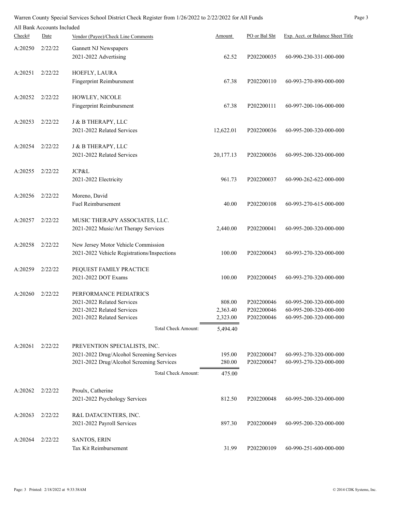|         |                            | Warren County Special Services School District Check Register from 1/26/2022 to 2/22/2022 for All Funds |                            |           |               |                                   | Page 3 |
|---------|----------------------------|---------------------------------------------------------------------------------------------------------|----------------------------|-----------|---------------|-----------------------------------|--------|
|         | All Bank Accounts Included |                                                                                                         |                            |           |               |                                   |        |
| Check#  | Date                       | Vendor (Payee)/Check Line Comments                                                                      |                            | Amount    | PO or Bal Sht | Exp. Acct. or Balance Sheet Title |        |
| A:20250 | 2/22/22                    | Gannett NJ Newspapers                                                                                   |                            |           |               |                                   |        |
|         |                            | 2021-2022 Advertising                                                                                   |                            | 62.52     | P202200035    | 60-990-230-331-000-000            |        |
|         |                            |                                                                                                         |                            |           |               |                                   |        |
| A:20251 | 2/22/22                    | HOEFLY, LAURA                                                                                           |                            |           |               |                                   |        |
|         |                            | Fingerprint Reimbursment                                                                                |                            | 67.38     | P202200110    | 60-993-270-890-000-000            |        |
| A:20252 | 2/22/22                    | HOWLEY, NICOLE                                                                                          |                            |           |               |                                   |        |
|         |                            | Fingerprint Reimbursment                                                                                |                            | 67.38     | P202200111    | 60-997-200-106-000-000            |        |
|         |                            |                                                                                                         |                            |           |               |                                   |        |
| A:20253 | 2/22/22                    | J & B THERAPY, LLC                                                                                      |                            |           |               |                                   |        |
|         |                            | 2021-2022 Related Services                                                                              |                            | 12,622.01 | P202200036    | 60-995-200-320-000-000            |        |
| A:20254 | 2/22/22                    | J & B THERAPY, LLC                                                                                      |                            |           |               |                                   |        |
|         |                            | 2021-2022 Related Services                                                                              |                            | 20,177.13 | P202200036    | 60-995-200-320-000-000            |        |
|         |                            |                                                                                                         |                            |           |               |                                   |        |
| A:20255 | 2/22/22                    | JCP&L                                                                                                   |                            |           |               |                                   |        |
|         |                            | 2021-2022 Electricity                                                                                   |                            | 961.73    | P202200037    | 60-990-262-622-000-000            |        |
| A:20256 | 2/22/22                    | Moreno, David                                                                                           |                            |           |               |                                   |        |
|         |                            | Fuel Reimbursement                                                                                      |                            | 40.00     | P202200108    | 60-993-270-615-000-000            |        |
|         |                            |                                                                                                         |                            |           |               |                                   |        |
| A:20257 | 2/22/22                    | MUSIC THERAPY ASSOCIATES, LLC.                                                                          |                            |           |               |                                   |        |
|         |                            | 2021-2022 Music/Art Therapy Services                                                                    |                            | 2,440.00  | P202200041    | 60-995-200-320-000-000            |        |
|         | 2/22/22                    |                                                                                                         |                            |           |               |                                   |        |
| A:20258 |                            | New Jersey Motor Vehicle Commission<br>2021-2022 Vehicle Registrations/Inspections                      |                            | 100.00    | P202200043    | 60-993-270-320-000-000            |        |
|         |                            |                                                                                                         |                            |           |               |                                   |        |
| A:20259 | 2/22/22                    | PEQUEST FAMILY PRACTICE                                                                                 |                            |           |               |                                   |        |
|         |                            | 2021-2022 DOT Exams                                                                                     |                            | 100.00    | P202200045    | 60-993-270-320-000-000            |        |
|         |                            |                                                                                                         |                            |           |               |                                   |        |
| A:20260 | 2/22/22                    | PERFORMANCE PEDIATRICS<br>2021-2022 Related Services                                                    |                            | 808.00    | P202200046    | 60-995-200-320-000-000            |        |
|         |                            | 2021-2022 Related Services                                                                              |                            | 2,363.40  | P202200046    | 60-995-200-320-000-000            |        |
|         |                            | 2021-2022 Related Services                                                                              |                            | 2,323.00  | P202200046    | 60-995-200-320-000-000            |        |
|         |                            |                                                                                                         | <b>Total Check Amount:</b> | 5,494.40  |               |                                   |        |
|         |                            |                                                                                                         |                            |           |               |                                   |        |
| A:20261 | 2/22/22                    | PREVENTION SPECIALISTS, INC.                                                                            |                            |           |               |                                   |        |
|         |                            | 2021-2022 Drug/Alcohol Screening Services                                                               |                            | 195.00    | P202200047    | 60-993-270-320-000-000            |        |
|         |                            | 2021-2022 Drug/Alcohol Screening Services                                                               |                            | 280.00    | P202200047    | 60-993-270-320-000-000            |        |
|         |                            |                                                                                                         | Total Check Amount:        | 475.00    |               |                                   |        |
| A:20262 | 2/22/22                    | Proulx, Catherine                                                                                       |                            |           |               |                                   |        |
|         |                            | 2021-2022 Psychology Services                                                                           |                            | 812.50    | P202200048    | 60-995-200-320-000-000            |        |
|         |                            |                                                                                                         |                            |           |               |                                   |        |
| A:20263 | 2/22/22                    | R&L DATACENTERS, INC.                                                                                   |                            |           |               |                                   |        |
|         |                            | 2021-2022 Payroll Services                                                                              |                            | 897.30    | P202200049    | 60-995-200-320-000-000            |        |
|         |                            |                                                                                                         |                            |           |               |                                   |        |
| A:20264 | 2/22/22                    | SANTOS, ERIN<br>Tax Kit Reimbursement                                                                   |                            | 31.99     | P202200109    | 60-990-251-600-000-000            |        |
|         |                            |                                                                                                         |                            |           |               |                                   |        |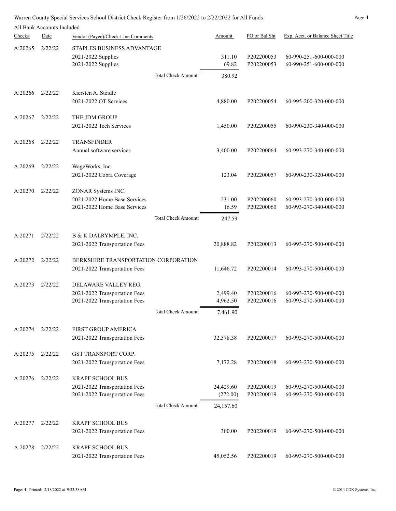|         | All Bank Accounts Included |                                                                                           |                     |                                    |                          |                                                  |
|---------|----------------------------|-------------------------------------------------------------------------------------------|---------------------|------------------------------------|--------------------------|--------------------------------------------------|
| Check#  | Date                       | Vendor (Payee)/Check Line Comments                                                        |                     | Amount                             | PO or Bal Sht            | Exp. Acct. or Balance Sheet Title                |
| A:20265 | 2/22/22                    | STAPLES BUSINESS ADVANTAGE<br>2021-2022 Supplies<br>2021-2022 Supplies                    | Total Check Amount: | 311.10<br>69.82<br>380.92          | P202200053<br>P202200053 | 60-990-251-600-000-000<br>60-990-251-600-000-000 |
| A:20266 | 2/22/22                    | Kiersten A. Steidle<br>2021-2022 OT Services                                              |                     | 4,880.00                           | P202200054               | 60-995-200-320-000-000                           |
| A:20267 | 2/22/22                    | THE JDM GROUP<br>2021-2022 Tech Services                                                  |                     | 1,450.00                           | P202200055               | 60-990-230-340-000-000                           |
| A:20268 | 2/22/22                    | <b>TRANSFINDER</b><br>Annual software services                                            |                     | 3,400.00                           | P202200064               | 60-993-270-340-000-000                           |
| A:20269 | 2/22/22                    | WageWorks, Inc.<br>2021-2022 Cobra Coverage                                               |                     | 123.04                             | P202200057               | 60-990-230-320-000-000                           |
| A:20270 | 2/22/22                    | ZONAR Systems INC.<br>2021-2022 Home Base Services<br>2021-2022 Home Base Services        |                     | 231.00<br>16.59                    | P202200060<br>P202200060 | 60-993-270-340-000-000<br>60-993-270-340-000-000 |
|         |                            |                                                                                           | Total Check Amount: | 247.59                             |                          |                                                  |
| A:20271 | 2/22/22                    | B & K DALRYMPLE, INC.<br>2021-2022 Transportation Fees                                    |                     | 20,888.82                          | P202200013               | 60-993-270-500-000-000                           |
| A:20272 | 2/22/22                    | BERKSHIRE TRANSPORTATION CORPORATION<br>2021-2022 Transportation Fees                     |                     | 11,646.72                          | P202200014               | 60-993-270-500-000-000                           |
| A:20273 | 2/22/22                    | DELAWARE VALLEY REG.<br>2021-2022 Transportation Fees<br>2021-2022 Transportation Fees    | Total Check Amount: | 2,499.40<br>4,962.50<br>7,461.90   | P202200016<br>P202200016 | 60-993-270-500-000-000<br>60-993-270-500-000-000 |
| A:20274 | 2/22/22                    | <b>FIRST GROUP AMERICA</b><br>2021-2022 Transportation Fees                               |                     | 32,578.38                          | P202200017               | 60-993-270-500-000-000                           |
| A:20275 | 2/22/22                    | <b>GST TRANSPORT CORP.</b><br>2021-2022 Transportation Fees                               |                     | 7,172.28                           | P202200018               | 60-993-270-500-000-000                           |
| A:20276 | 2/22/22                    | <b>KRAPF SCHOOL BUS</b><br>2021-2022 Transportation Fees<br>2021-2022 Transportation Fees | Total Check Amount: | 24,429.60<br>(272.00)<br>24,157.60 | P202200019<br>P202200019 | 60-993-270-500-000-000<br>60-993-270-500-000-000 |
| A:20277 | 2/22/22                    | <b>KRAPF SCHOOL BUS</b><br>2021-2022 Transportation Fees                                  |                     | 300.00                             | P202200019               | 60-993-270-500-000-000                           |
| A:20278 | 2/22/22                    | <b>KRAPF SCHOOL BUS</b><br>2021-2022 Transportation Fees                                  |                     | 45,052.56                          | P202200019               | 60-993-270-500-000-000                           |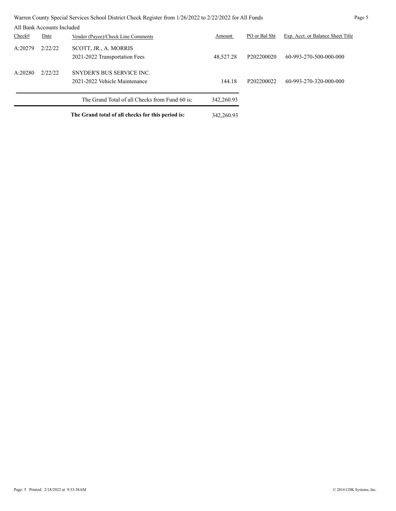|         |                            | Warren County Special Services School District Check Register from 1/26/2022 to 2/22/2022 for All Funds |            |               |                                   | Page 5 |
|---------|----------------------------|---------------------------------------------------------------------------------------------------------|------------|---------------|-----------------------------------|--------|
|         | All Bank Accounts Included |                                                                                                         |            |               |                                   |        |
| Check#  | Date                       | Vendor (Payee)/Check Line Comments                                                                      | Amount     | PO or Bal Sht | Exp. Acct. or Balance Sheet Title |        |
| A:20279 | 2/22/22                    | SCOTT, JR., A. MORRIS<br>2021-2022 Transportation Fees                                                  | 48,527.28  | P202200020    | 60-993-270-500-000-000            |        |
| A:20280 | 2/22/22                    | SNYDER'S BUS SERVICE INC.<br>2021-2022 Vehicle Maintenance                                              | 144.18     | P202200022    | 60-993-270-320-000-000            |        |
|         |                            | The Grand Total of all Checks from Fund 60 is:                                                          | 342,260.93 |               |                                   |        |
|         |                            | The Grand total of all checks for this period is:                                                       | 342,260.93 |               |                                   |        |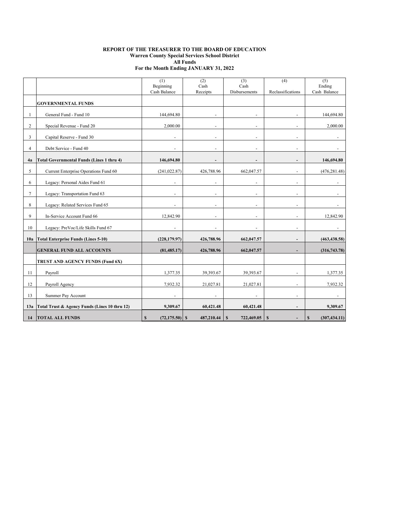#### **REPORT OF THE TREASURER TO THE BOARD OF EDUCATION Warren County Special Services School District All Funds For the Month Ending JANUARY 31, 2022**

|                |                                                  | (1)<br>Beginning<br>Cash Balance  | (2)<br>Cash              | (3)<br>Cash<br>Disbursements | (4)<br>Reclassifications | (5)<br>Ending<br>Cash Balance |
|----------------|--------------------------------------------------|-----------------------------------|--------------------------|------------------------------|--------------------------|-------------------------------|
|                | <b>GOVERNMENTAL FUNDS</b>                        |                                   | Receipts                 |                              |                          |                               |
|                |                                                  |                                   |                          |                              |                          |                               |
|                | General Fund - Fund 10                           | 144,694.80                        |                          |                              |                          | 144,694.80                    |
| 2              | Special Revenue - Fund 20                        | 2,000.00                          |                          |                              |                          | 2,000.00                      |
| 3              | Capital Reserve - Fund 30                        | $\ddot{\phantom{1}}$              | ÷.                       | $\ddot{\phantom{1}}$         | $\ddot{\phantom{1}}$     |                               |
| $\overline{4}$ | Debt Service - Fund 40                           |                                   |                          | $\overline{\phantom{a}}$     |                          |                               |
| 4a             | <b>Total Governmental Funds (Lines 1 thru 4)</b> | 146,694.80                        | $\overline{\phantom{a}}$ | $\overline{\phantom{a}}$     | $\blacksquare$           | 146,694.80                    |
| 5              | Current Enterprise Operations Fund 60            | (241, 022.87)                     | 426,788.96               | 662,047.57                   |                          | (476, 281.48)                 |
| 6              | Legacy: Personal Aides Fund 61                   |                                   | ÷.                       | ÷.                           |                          |                               |
| $\overline{7}$ | Legacy: Transportation Fund 63                   |                                   |                          | $\ddot{\phantom{1}}$         |                          |                               |
| 8              | Legacy: Related Services Fund 65                 |                                   |                          | $\ddot{\phantom{1}}$         |                          |                               |
| 9              | In-Service Account Fund 66                       | 12,842.90                         | L.                       | $\overline{\phantom{a}}$     | ä,                       | 12,842.90                     |
| 10             | Legacy: PreVoc/Life Skills Fund 67               |                                   | ٠                        | $\sim$                       | $\ddot{\phantom{1}}$     |                               |
| 10a            | <b>Total Enterprise Funds (Lines 5-10)</b>       | (228, 179.97)                     | 426,788.96               | 662,047.57                   | $\overline{\phantom{a}}$ | (463, 438.58)                 |
|                | <b>GENERAL FUND ALL ACCOUNTS</b>                 | (81, 485.17)                      | 426,788.96               | 662,047.57                   |                          | (316,743.78)                  |
|                | TRUST AND AGENCY FUNDS (Fund 6X)                 |                                   |                          |                              |                          |                               |
| 11             | Payroll                                          | 1,377.35                          | 39,393.67                | 39,393.67                    |                          | 1,377.35                      |
| 12             | Payroll Agency                                   | 7,932.32                          | 21,027.81                | 21,027.81                    |                          | 7,932.32                      |
| 13             | Summer Pay Account                               | ä,                                | L.                       | $\overline{\phantom{a}}$     | ä,                       |                               |
| 13a            | Total Trust & Agency Funds (Lines 10 thru 12)    | 9,309.67                          | 60,421.48                | 60,421.48                    |                          | 9,309.67                      |
| 14             | <b>TOTAL ALL FUNDS</b>                           | $\mathbf{s}$<br>$(72, 175.50)$ \$ | 487,210.44               | 722,469.05<br><sup>S</sup>   | S                        | S<br>(307, 434.11)            |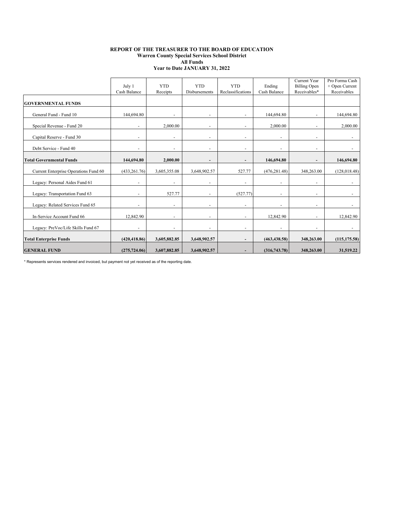#### **REPORT OF THE TREASURER TO THE BOARD OF EDUCATION Warren County Special Services School District All Funds Year to Date JANUARY 31, 2022**

|                                       | July 1<br>Cash Balance   | <b>YTD</b><br>Receipts   | <b>YTD</b><br><b>Disbursements</b> | <b>YTD</b><br>Reclassifications | Ending<br>Cash Balance       | Current Year<br><b>Billing Open</b><br>Receivables* | Pro Forma Cash<br>+ Open Current<br>Receivables |
|---------------------------------------|--------------------------|--------------------------|------------------------------------|---------------------------------|------------------------------|-----------------------------------------------------|-------------------------------------------------|
| <b>GOVERNMENTAL FUNDS</b>             |                          |                          |                                    |                                 |                              |                                                     |                                                 |
| General Fund - Fund 10                | 144,694.80               |                          |                                    |                                 | 144,694.80                   |                                                     | 144,694.80                                      |
| Special Revenue - Fund 20             |                          | 2,000.00                 | ÷.                                 |                                 | 2,000.00                     |                                                     | 2,000.00                                        |
| Capital Reserve - Fund 30             |                          | $\overline{\phantom{a}}$ | ٠                                  |                                 | $\overline{\phantom{a}}$     |                                                     |                                                 |
| Debt Service - Fund 40                |                          | $\overline{\phantom{a}}$ | ٠                                  | $\overline{\phantom{0}}$        | ٠                            | $\overline{\phantom{a}}$                            | $\overline{\phantom{a}}$                        |
| <b>Total Governmental Funds</b>       | 144,694.80               | 2,000.00                 |                                    |                                 | 146,694.80                   |                                                     | 146,694.80                                      |
| Current Enterprise Operations Fund 60 | (433, 261.76)            | 3,605,355.08             | 3,648,902.57                       | 527.77                          | (476, 281.48)                | 348,263.00                                          | (128, 018.48)                                   |
| Legacy: Personal Aides Fund 61        | $\overline{\phantom{a}}$ | $\overline{\phantom{a}}$ | ٠                                  | $\overline{\phantom{0}}$        | $\overline{\phantom{a}}$     | $\overline{\phantom{a}}$                            | $\overline{\phantom{a}}$                        |
| Legacy: Transportation Fund 63        |                          | 527.77                   | ٠                                  | (527.77)                        | $\qquad \qquad \blacksquare$ | $\overline{\phantom{a}}$                            |                                                 |
| Legacy: Related Services Fund 65      |                          | $\overline{\phantom{a}}$ |                                    |                                 | $\overline{a}$               |                                                     |                                                 |
| In-Service Account Fund 66            | 12,842.90                |                          | ٠                                  |                                 | 12,842.90                    |                                                     | 12,842.90                                       |
| Legacy: PreVoc/Life Skills Fund 67    | $\overline{\phantom{a}}$ | $\overline{\phantom{a}}$ | $\overline{\phantom{a}}$           | $\overline{\phantom{0}}$        | $\overline{\phantom{a}}$     | $\overline{\phantom{a}}$                            | $\sim$                                          |
| <b>Total Enterprise Funds</b>         | (420, 418.86)            | 3,605,882.85             | 3,648,902.57                       | $\overline{\phantom{a}}$        | (463, 438.58)                | 348,263.00                                          | (115, 175.58)                                   |
| <b>GENERAL FUND</b>                   | (275, 724.06)            | 3,607,882.85             | 3,648,902.57                       |                                 | (316,743.78)                 | 348,263.00                                          | 31,519.22                                       |

\* Represents services rendered and invoiced, but payment not yet received as of the reporting date.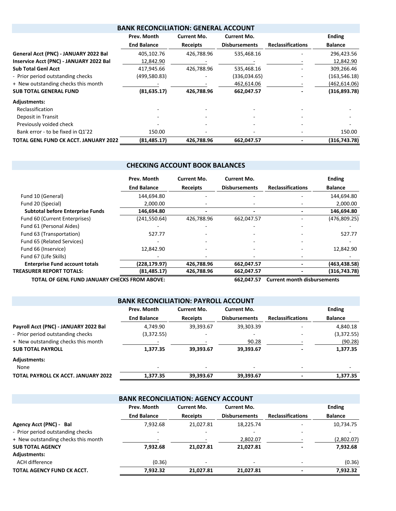|                                         | <b>BANK RECONCILIATION: GENERAL ACCOUNT</b> |                 |                      |                          |                |
|-----------------------------------------|---------------------------------------------|-----------------|----------------------|--------------------------|----------------|
|                                         | Prev. Month                                 | Current Mo.     | Current Mo.          |                          | <b>Ending</b>  |
|                                         | <b>End Balance</b>                          | <b>Receipts</b> | <b>Disbursements</b> | <b>Reclassifications</b> | <b>Balance</b> |
| General Acct (PNC) - JANUARY 2022 Bal   | 405,102.76                                  | 426,788.96      | 535,468.16           |                          | 296,423.56     |
| Inservice Acct (PNC) - JANUARY 2022 Bal | 12,842.90                                   |                 |                      |                          | 12,842.90      |
| <b>Sub Total Genl Acct</b>              | 417,945.66                                  | 426,788.96      | 535,468.16           |                          | 309,266.46     |
| - Prior period outstanding checks       | (499, 580.83)                               |                 | (336,034.65)         |                          | (163, 546.18)  |
| + New outstanding checks this month     |                                             |                 | 462,614.06           |                          | (462, 614.06)  |
| <b>SUB TOTAL GENERAL FUND</b>           | (81, 635.17)                                | 426,788.96      | 662,047.57           |                          | (316,893.78)   |
| <b>Adjustments:</b>                     |                                             |                 |                      |                          |                |
| Reclassification                        |                                             |                 |                      |                          |                |
| Deposit in Transit                      |                                             |                 |                      |                          |                |
| Previously voided check                 |                                             |                 |                      |                          |                |
| Bank error - to be fixed in Q1'22       | 150.00                                      |                 |                      |                          | 150.00         |
| TOTAL GENL FUND CK ACCT. JANUARY 2022   | (81, 485.17)                                | 426,788.96      | 662,047.57           |                          | (316,743.78)   |

## **CHECKING ACCOUNT BOOK BALANCES**

|                                         | Prev. Month        | <b>Current Mo.</b> | <b>Current Mo.</b>   |                          | <b>Ending</b>  |
|-----------------------------------------|--------------------|--------------------|----------------------|--------------------------|----------------|
|                                         | <b>End Balance</b> | <b>Receipts</b>    | <b>Disbursements</b> | <b>Reclassifications</b> | <b>Balance</b> |
| Fund 10 (General)                       | 144,694.80         |                    |                      |                          | 144,694.80     |
| Fund 20 (Special)                       | 2.000.00           |                    |                      |                          | 2,000.00       |
| <b>Subtotal before Enterprise Funds</b> | 146,694.80         |                    |                      |                          | 146,694.80     |
| Fund 60 (Current Enterprises)           | (241, 550.64)      | 426.788.96         | 662,047.57           |                          | (476,809.25)   |
| Fund 61 (Personal Aides)                |                    |                    |                      |                          |                |
| Fund 63 (Transportation)                | 527.77             |                    |                      |                          | 527.77         |
| Fund 65 (Related Services)              |                    |                    |                      |                          |                |
| Fund 66 (Inservice)                     | 12.842.90          |                    |                      |                          | 12,842.90      |
| Fund 67 (Life Skills)                   |                    |                    |                      |                          |                |
| <b>Enterprise Fund account totals</b>   | (228,179.97)       | 426,788.96         | 662,047.57           |                          | (463, 438.58)  |
| <b>TREASURER REPORT TOTALS:</b>         | (81, 485.17)       | 426,788.96         | 662,047.57           |                          | (316, 743.78)  |

**TOTAL OF GENL FUND JANUARY CHECKS FROM ABOVE: 662,047.57 Current month disbursements**

| <b>BANK RECONCILIATION: PAYROLL ACCOUNT</b> |                    |                 |                      |                          |                |  |  |  |  |  |
|---------------------------------------------|--------------------|-----------------|----------------------|--------------------------|----------------|--|--|--|--|--|
|                                             | Prev. Month        |                 | <b>Ending</b>        |                          |                |  |  |  |  |  |
|                                             | <b>End Balance</b> | <b>Receipts</b> | <b>Disbursements</b> | <b>Reclassifications</b> | <b>Balance</b> |  |  |  |  |  |
| Payroll Acct (PNC) - JANUARY 2022 Bal       | 4.749.90           | 39,393.67       | 39,303.39            |                          | 4,840.18       |  |  |  |  |  |
| - Prior period outstanding checks           | (3,372.55)         |                 |                      |                          | (3,372.55)     |  |  |  |  |  |
| + New outstanding checks this month         |                    |                 | 90.28                |                          | (90.28)        |  |  |  |  |  |
| <b>SUB TOTAL PAYROLL</b>                    | 1,377.35           | 39,393.67       | 39,393.67            |                          | 1,377.35       |  |  |  |  |  |
| Adjustments:                                |                    |                 |                      |                          |                |  |  |  |  |  |
| None                                        | ٠                  |                 |                      | $\overline{\phantom{a}}$ |                |  |  |  |  |  |
| TOTAL PAYROLL CK ACCT. JANUARY 2022         | 1.377.35           | 39,393.67       | 39.393.67            |                          | 1.377.35       |  |  |  |  |  |

| <b>BANK RECONCILIATION: AGENCY ACCOUNT</b> |                    |                                   |                      |                          |                |  |  |  |  |  |
|--------------------------------------------|--------------------|-----------------------------------|----------------------|--------------------------|----------------|--|--|--|--|--|
|                                            | Prev. Month        | <b>Current Mo.</b><br>Current Mo. |                      |                          |                |  |  |  |  |  |
|                                            | <b>End Balance</b> | <b>Receipts</b>                   | <b>Disbursements</b> | <b>Reclassifications</b> | <b>Balance</b> |  |  |  |  |  |
| Agency Acct (PNC) - Bal                    | 7.932.68           | 21,027.81                         | 18,225.74            |                          | 10,734.75      |  |  |  |  |  |
| - Prior period outstanding checks          |                    |                                   |                      |                          |                |  |  |  |  |  |
| + New outstanding checks this month        |                    |                                   | 2,802.07             |                          | (2,802.07)     |  |  |  |  |  |
| <b>SUB TOTAL AGENCY</b>                    | 7.932.68           | 21.027.81                         | 21.027.81            |                          | 7,932.68       |  |  |  |  |  |
| Adjustments:                               |                    |                                   |                      |                          |                |  |  |  |  |  |
| ACH difference                             | (0.36)             |                                   |                      |                          | (0.36)         |  |  |  |  |  |
| TOTAL AGENCY FUND CK ACCT.                 | 7,932.32           | 21,027.81                         | 21.027.81            |                          | 7.932.32       |  |  |  |  |  |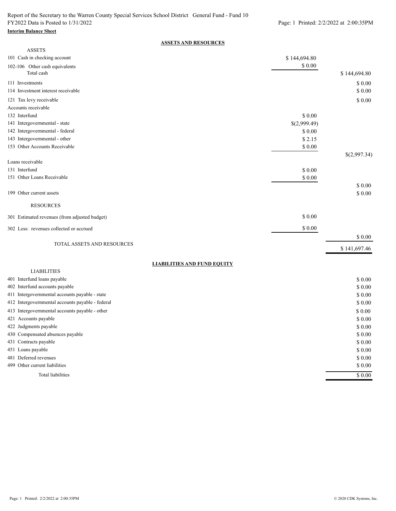#### **Interim Balance Sheet**

#### **ASSETS AND RESOURCES**

| <b>ASSETS</b>                                                                    |              |                   |
|----------------------------------------------------------------------------------|--------------|-------------------|
| 101 Cash in checking account                                                     | \$144,694.80 |                   |
| 102-106 Other cash equivalents<br>Total cash                                     | $\$$ 0.00    | \$144,694.80      |
| 111 Investments                                                                  |              | \$0.00            |
| 114 Investment interest receivable                                               |              | \$0.00            |
| 121 Tax levy receivable                                                          |              | \$0.00            |
| Accounts receivable                                                              |              |                   |
| 132 Interfund                                                                    | \$ 0.00      |                   |
| 141 Intergovernmental - state                                                    | \$(2,999.49) |                   |
| 142 Intergovernmental - federal                                                  | \$ 0.00      |                   |
| 143 Intergovernmental - other                                                    | \$2.15       |                   |
| 153 Other Accounts Receivable                                                    | \$0.00       |                   |
| Loans receivable                                                                 |              | \$(2,997.34)      |
| 131 Interfund                                                                    | \$0.00       |                   |
| 151 Other Loans Receivable                                                       | \$ 0.00      |                   |
|                                                                                  |              | \$ 0.00           |
| 199 Other current assets                                                         |              | \$ 0.00           |
| <b>RESOURCES</b>                                                                 |              |                   |
| 301 Estimated revenues (from adjusted budget)                                    | \$0.00       |                   |
| 302 Less: revenues collected or accrued                                          | \$0.00       |                   |
|                                                                                  |              | \$ 0.00           |
| TOTAL ASSETS AND RESOURCES                                                       |              | \$141,697.46      |
|                                                                                  |              |                   |
| <b>LIABILITIES AND FUND EQUITY</b>                                               |              |                   |
| <b>LIABILITIES</b>                                                               |              |                   |
| 401 Interfund loans payable                                                      |              | \$0.00            |
| 402 Interfund accounts payable<br>411 Intergovernmental accounts payable - state |              | \$0.00            |
| 412 Intergovernmental accounts payable - federal                                 |              | \$ 0.00<br>\$0.00 |
|                                                                                  |              |                   |
| 413 Intergovernmental accounts payable - other                                   |              | \$ 0.00           |
| 421 Accounts payable                                                             |              | \$0.00<br>\$0.00  |
| 422 Judgments payable<br>430 Compensated absences payable                        |              | \$ 0.00           |
| 431 Contracts payable                                                            |              | \$0.00            |
| 451 Loans payable                                                                |              | \$0.00            |
| 481 Deferred revenues                                                            |              | \$0.00            |
| 499 Other current liabilities                                                    |              | \$0.00            |
| Total liabilities                                                                |              | \$0.00            |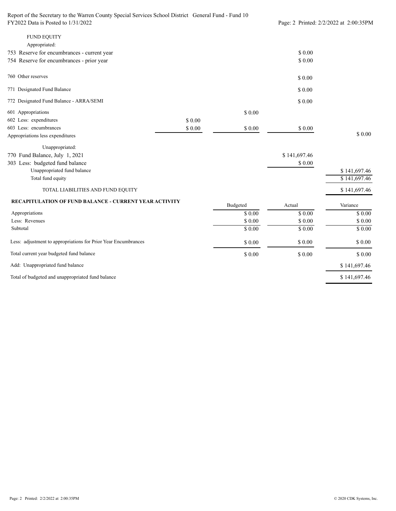Report of the Secretary to the Warren County Special Services School District General Fund - Fund 10 FY2022 Data is Posted to 1/31/2022 Printed: 2/2/2022 at 2:00:35PM

| <b>FUND EQUITY</b><br>Appropriated:                            |        |          |              |              |
|----------------------------------------------------------------|--------|----------|--------------|--------------|
| 753 Reserve for encumbrances - current year                    |        |          | \$0.00       |              |
| 754 Reserve for encumbrances - prior year                      |        |          | \$0.00       |              |
| 760 Other reserves                                             |        |          | \$0.00       |              |
| 771 Designated Fund Balance                                    |        |          | \$0.00       |              |
| 772 Designated Fund Balance - ARRA/SEMI                        |        |          | \$0.00       |              |
| 601 Appropriations                                             |        | \$0.00   |              |              |
| 602 Less: expenditures                                         | \$0.00 |          |              |              |
| 603 Less: encumbrances                                         | \$0.00 | \$0.00   | \$0.00       |              |
| Appropriations less expenditures                               |        |          |              | \$0.00       |
| Unappropriated:                                                |        |          |              |              |
| 770 Fund Balance, July 1, 2021                                 |        |          | \$141,697.46 |              |
| 303 Less: budgeted fund balance                                |        |          | \$0.00       |              |
| Unappropriated fund balance                                    |        |          |              | \$141,697.46 |
| Total fund equity                                              |        |          |              | \$141,697.46 |
| TOTAL LIABILITIES AND FUND EQUITY                              |        |          |              | \$141,697.46 |
| <b>RECAPITULATION OF FUND BALANCE - CURRENT YEAR ACTIVITY</b>  |        | Budgeted | Actual       | Variance     |
| Appropriations                                                 |        | \$0.00   | \$0.00       | \$0.00       |
| Less: Revenues                                                 |        | \$ 0.00  | \$0.00       | \$0.00       |
| Subtotal                                                       |        | \$ 0.00  | \$0.00       | \$0.00       |
| Less: adjustment to appropriations for Prior Year Encumbrances |        | \$0.00   | \$0.00       | \$0.00       |

\$ 141,697.46 \$ 141,697.46 \$ 0.00 \$ 0.00 \$ 0.00 Total of budgeted and unappropriated fund balance Add: Unappropriated fund balance Total current year budgeted fund balance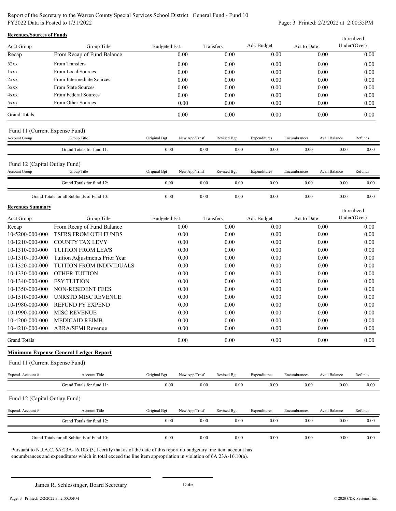Report of the Secretary to the Warren County Special Services School District General Fund - Fund 10 FY2022 Data is Posted to 1/31/2022 Page: 3 Printed: 2/2/2022 at 2:00:35PM

| <b>Revenues/Sources of Funds</b> |                                              |               |               |             |              |              |               | Unrealized   |
|----------------------------------|----------------------------------------------|---------------|---------------|-------------|--------------|--------------|---------------|--------------|
| <b>Acct Group</b>                | Group Title                                  | Budgeted Est. |               | Transfers   | Adj. Budget  | Act to Date  |               | Under/(Over) |
| Recap                            | From Recap of Fund Balance                   |               | 0.00          | 0.00        | 0.00         |              | 0.00          | 0.00         |
| 52xx                             | From Transfers                               |               | 0.00          | 0.00        | 0.00         |              | 0.00          | 0.00         |
| 1xxx                             | From Local Sources                           |               | 0.00          | 0.00        | 0.00         |              | 0.00          | 0.00         |
| 2xxx                             | From Intermediate Sources                    |               | 0.00          | 0.00        | 0.00         |              | 0.00          | 0.00         |
| 3xxx                             | From State Sources                           |               | 0.00          | 0.00        | 0.00         |              | 0.00          | 0.00         |
| 4xxx                             | From Federal Sources                         |               | 0.00          | 0.00        | 0.00         |              | 0.00          | 0.00         |
| 5xxx                             | From Other Sources                           |               | 0.00          | 0.00        | 0.00         |              | 0.00          | 0.00         |
| <b>Grand Totals</b>              |                                              |               | 0.00          | 0.00        | 0.00         |              | 0.00          | 0.00         |
| Fund 11 (Current Expense Fund)   |                                              |               |               |             |              |              |               |              |
| <b>Account Group</b>             | Group Title                                  | Original Bgt  | New App/Trnsf | Revised Bgt | Expenditures | Encumbrances | Avail Balance | Refunds      |
|                                  | Grand Totals for fund 11:                    | $0.00\,$      | 0.00          | $0.00\,$    | $0.00\,$     | $0.00\,$     | 0.00          | 0.00         |
| Fund 12 (Capital Outlay Fund)    |                                              |               |               |             |              |              |               |              |
| <b>Account Group</b>             | Group Title                                  | Original Bgt  | New App/Trnsf | Revised Bgt | Expenditures | Encumbrances | Avail Balance | Refunds      |
|                                  | Grand Totals for fund 12:                    | 0.00          | 0.00          | 0.00        | 0.00         | 0.00         | 0.00          | 0.00         |
|                                  | Grand Totals for all Subfunds of Fund 10:    | 0.00          | $0.00\,$      | 0.00        | $0.00\,$     | 0.00         | 0.00          | 0.00         |
| <b>Revenues Summary</b>          |                                              |               |               |             |              |              |               | Unrealized   |
| Acct Group                       | Group Title                                  | Budgeted Est. |               | Transfers   | Adj. Budget  | Act to Date  |               | Under/(Over) |
| Recap                            | From Recap of Fund Balance                   |               | 0.00          | 0.00        | 0.00         |              | 0.00          | 0.00         |
| 10-5200-000-000                  | TSFRS FROM OTH FUNDS                         |               | $0.00\,$      | 0.00        | 0.00         |              | $0.00\,$      | 0.00         |
| 10-1210-000-000                  | <b>COUNTY TAX LEVY</b>                       |               | 0.00          | 0.00        | 0.00         |              | 0.00          | 0.00         |
| 10-1310-000-000                  | TUITION FROM LEA'S                           |               | 0.00          | 0.00        | 0.00         |              | 0.00          | 0.00         |
| 10-1310-100-000                  | Tuition Adjustments Prior Year               |               | 0.00          | 0.00        | 0.00         |              | 0.00          | 0.00         |
| 10-1320-000-000                  | TUITION FROM INDIVIDUALS                     |               | 0.00          | 0.00        | 0.00         |              | 0.00          | 0.00         |
| 10-1330-000-000                  | OTHER TUITION                                |               | 0.00          | 0.00        | 0.00         |              | 0.00          | 0.00         |
| 10-1340-000-000                  | <b>ESY TUITION</b>                           |               | 0.00          | 0.00        | 0.00         |              | 0.00          | 0.00         |
| 10-1350-000-000                  | NON-RESIDENT FEES                            |               | 0.00          | 0.00        | 0.00         |              | 0.00          | 0.00         |
| 10-1510-000-000                  | UNRSTD MISC REVENUE                          |               | 0.00          | 0.00        | 0.00         |              | 0.00          | 0.00         |
| 10-1980-000-000                  | <b>REFUND PY EXPEND</b>                      |               | 0.00          | 0.00        | 0.00         |              | 0.00          | 0.00         |
| 10-1990-000-000                  | <b>MISC REVENUE</b>                          |               | 0.00          | 0.00        | 0.00         |              | 0.00          | 0.00         |
| 10-4200-000-000                  | <b>MEDICAID REIMB</b>                        |               | 0.00          | 0.00        | 0.00         |              | 0.00          | 0.00         |
|                                  | 10-4210-000-000 ARRA/SEMI Revenue            |               | 0.00          | 0.00        | 0.00         |              | 0.00          | 0.00         |
| <b>Grand Totals</b>              |                                              |               | 0.00          | 0.00        | 0.00         |              | 0.00          | 0.00         |
|                                  | <b>Minimum Expense General Ledger Report</b> |               |               |             |              |              |               |              |
| Fund 11 (Current Expense Fund)   |                                              |               |               |             |              |              |               |              |
| Expend. Account #                | Account Title                                | Original Bgt  | New App/Trnsf | Revised Bgt | Expenditures | Encumbrances | Avail Balance | Refunds      |
|                                  | Grand Totals for fund 11:                    | 0.00          | 0.00          | 0.00        | 0.00         | 0.00         | $0.00\,$      | 0.00         |
| Fund 12 (Capital Outlay Fund)    |                                              |               |               |             |              |              |               |              |
| Expend. Account #                | Account Title                                | Original Bgt  | New App/Trnsf | Revised Bgt | Expenditures | Encumbrances | Avail Balance | Refunds      |
|                                  | Grand Totals for fund 12:                    | 0.00          | 0.00          | 0.00        | 0.00         | 0.00         | 0.00          | 0.00         |
|                                  | Grand Totals for all Subfunds of Fund 10:    | 0.00          | 0.00          | 0.00        | 0.00         | 0.00         | 0.00          | 0.00         |
|                                  |                                              |               |               |             |              |              |               |              |

Pursuant to N.J.A.C. 6A:23A-16.10(c)3, I certify that as of the date of this report no budgetary line item account has encumbrances and expenditures which in total exceed the line item appropriation in violation of 6A:23A-16.10(a).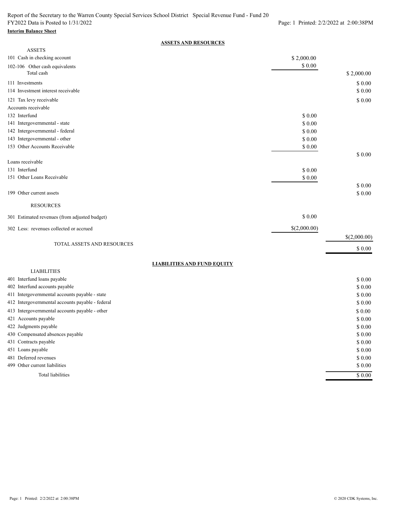# **Interim Balance Sheet**

## **ASSETS AND RESOURCES**

| <b>ASSETS</b>                                            |              |              |
|----------------------------------------------------------|--------------|--------------|
| 101 Cash in checking account                             | \$2,000.00   |              |
| 102-106 Other cash equivalents                           | \$0.00       |              |
| Total cash                                               |              | \$2,000.00   |
| 111 Investments                                          |              | \$0.00       |
| 114 Investment interest receivable                       |              | \$0.00       |
| 121 Tax levy receivable                                  |              | \$0.00       |
| Accounts receivable                                      |              |              |
| 132 Interfund                                            | \$0.00       |              |
| 141 Intergovernmental - state                            | \$0.00       |              |
| 142 Intergovernmental - federal                          | \$0.00       |              |
| 143 Intergovernmental - other                            | \$ 0.00      |              |
| 153 Other Accounts Receivable                            | \$ 0.00      |              |
|                                                          |              | \$0.00       |
| Loans receivable                                         |              |              |
| 131 Interfund                                            | \$0.00       |              |
| 151 Other Loans Receivable                               | \$0.00       |              |
|                                                          |              | \$0.00       |
| 199 Other current assets                                 |              | \$0.00       |
| <b>RESOURCES</b>                                         |              |              |
|                                                          | \$0.00       |              |
| 301 Estimated revenues (from adjusted budget)            |              |              |
| 302 Less: revenues collected or accrued                  | \$(2,000.00) |              |
|                                                          |              | \$(2,000.00) |
| TOTAL ASSETS AND RESOURCES                               |              | \$0.00       |
|                                                          |              |              |
| <b>LIABILITIES AND FUND EQUITY</b><br><b>LIABILITIES</b> |              |              |
| 401 Interfund loans payable                              |              | \$0.00       |
| 402 Interfund accounts payable                           |              | \$0.00       |
| 411 Intergovernmental accounts payable - state           |              | \$ 0.00      |
| 412 Intergovernmental accounts payable - federal         |              | \$0.00       |
|                                                          |              |              |
| 413 Intergovernmental accounts payable - other           |              | \$0.00       |
| 421 Accounts payable                                     |              | \$ 0.00      |
| 422 Judgments payable                                    |              | \$0.00       |
| 430 Compensated absences payable                         |              | \$0.00       |
| 431 Contracts payable                                    |              | \$0.00       |
| 451 Loans payable                                        |              | \$0.00       |
| 481 Deferred revenues                                    |              | \$0.00       |
| 499 Other current liabilities                            |              | \$0.00       |
| <b>Total liabilities</b>                                 |              | 50.00        |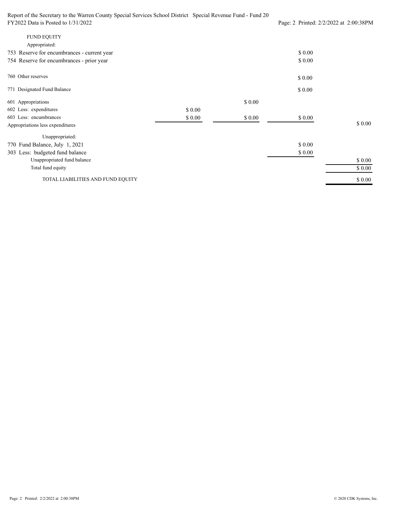Report of the Secretary to the Warren County Special Services School District Special Revenue Fund - Fund 20 FY2022 Data is Posted to 1/31/2022 Page: 2 Printed: 2/2/2022 at 2:00:38PM \$ 0.00 \$ 0.00 754 Reserve for encumbrances - prior year 753 Reserve for encumbrances - current year Appropriated: FUND EQUITY 771 Designated Fund Balance \$ 0.00 \$ 0.00 760 Other reserves \$ 0.00 \$ 0.00 \$ 0.00 \$ 0.00 \$ 0.00 \$ 0.00 \$ 0.00 \$ 0.00 \$ 0.00 \$ 0.00 \$ 0.00 \$ 0.00 TOTAL LIABILITIES AND FUND EQUITY Total fund equity Unappropriated fund balance 303 Less: budgeted fund balance Unappropriated: Appropriations less expenditures 603 Less: encumbrances 602 Less: expenditures 601 Appropriations 770 Fund Balance, July 1, 2021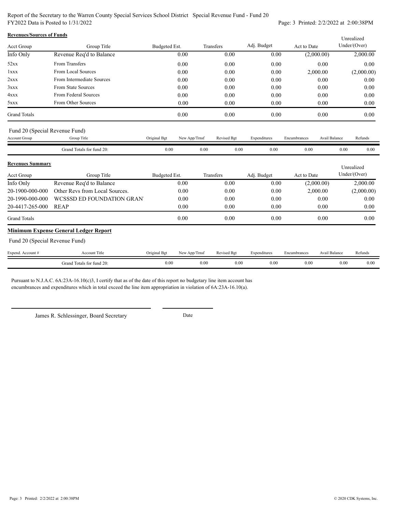Report of the Secretary to the Warren County Special Services School District Special Revenue Fund - Fund 20 FY2022 Data is Posted to 1/31/2022 Page: 3 Printed: 2/2/2022 at 2:00:38PM

| <b>Revenues/Sources of Funds</b> |                                |               |               |             |              |              |               | Unrealized   |
|----------------------------------|--------------------------------|---------------|---------------|-------------|--------------|--------------|---------------|--------------|
| <b>Acct Group</b>                | Group Title                    | Budgeted Est. |               | Transfers   | Adj. Budget  | Act to Date  |               | Under/(Over) |
| Info Only                        | Revenue Req'd to Balance       |               | 0.00          | 0.00        | 0.00         | (2,000.00)   |               | 2,000.00     |
| 52xx                             | From Transfers                 |               | 0.00          | 0.00        | 0.00         |              | 0.00          | 0.00         |
| 1xxx                             | From Local Sources             |               | 0.00          | 0.00        | 0.00         | 2,000.00     |               | (2,000.00)   |
| 2xxx                             | From Intermediate Sources      |               | 0.00          | 0.00        | 0.00         |              | 0.00          | 0.00         |
| 3xxx                             | From State Sources             |               | 0.00          | 0.00        | 0.00         |              | 0.00          | 0.00         |
| 4xxx                             | From Federal Sources           |               | 0.00          | 0.00        | 0.00         |              | 0.00          | 0.00         |
| 5xxx                             | From Other Sources             |               | 0.00          | 0.00        | 0.00         |              | 0.00          | 0.00         |
| <b>Grand Totals</b>              |                                |               | 0.00          | 0.00        | 0.00         |              | 0.00          | 0.00         |
|                                  | Fund 20 (Special Revenue Fund) |               |               |             |              |              |               |              |
| Account Group                    | Group Title                    | Original Bgt  | New App/Trnsf | Revised Bgt | Expenditures | Encumbrances | Avail Balance | Refunds      |
|                                  | Grand Totals for fund 20:      | 0.00          | 0.00          | 0.00        | 0.00         | 0.00         | 0.00          | 0.00         |
| <b>Revenues Summary</b>          |                                |               |               |             |              |              |               | Unrealized   |

| Acct Group                                   | Group Title                    | Budgeted Est. | Transfers                      | Adj. Budget | Act to Date | Under/(Over) |  |  |  |  |  |  |  |
|----------------------------------------------|--------------------------------|---------------|--------------------------------|-------------|-------------|--------------|--|--|--|--|--|--|--|
| Info Only                                    | Revenue Req'd to Balance       | 0.00          | 0.00                           | 0.00        | (2,000.00)  | 2,000.00     |  |  |  |  |  |  |  |
| 20-1900-000-000                              | Other Revs from Local Sources. | 0.00          | 0.00                           | 0.00        | 2,000.00    | (2,000.00)   |  |  |  |  |  |  |  |
| 20-1990-000-000                              | WCSSSD ED FOUNDATION GRAN      | 0.00          | 0.00                           | 0.00        | 0.00        | 0.00         |  |  |  |  |  |  |  |
| 20-4417-265-000                              | REAP                           | 0.00          | 0.00                           | 0.00        | 0.00        | 0.00         |  |  |  |  |  |  |  |
| <b>Grand Totals</b>                          |                                | 0.00          | 0.00                           | 0.00        | 0.00        | 0.00         |  |  |  |  |  |  |  |
| <b>Minimum Expense General Ledger Report</b> |                                |               |                                |             |             |              |  |  |  |  |  |  |  |
|                                              |                                |               | Fund 20 (Special Revenue Fund) |             |             |              |  |  |  |  |  |  |  |

Fund 20 (Special Revenue Fund)

| Expend<br>Account # | Account Title                              | Original Bgt | <b>CONTRACTOR</b><br>App/Trnst<br>.vew | <b>Revised Bgt</b>    | Expenditures | Encumbrance           | <b><i>BA</i> MA</b><br>Avail Balanc | Refunds |
|---------------------|--------------------------------------------|--------------|----------------------------------------|-----------------------|--------------|-----------------------|-------------------------------------|---------|
|                     | $\sim$<br>Grand<br>Total<br>s for fund 20. | 0.00         | 0.00                                   | 0.00<br>$\sim$ $\sim$ | 0.00         | 0.00<br>$\sim$ $\sim$ | 0.00                                | 0.00    |

Pursuant to N.J.A.C. 6A:23A-16.10(c)3, I certify that as of the date of this report no budgetary line item account has encumbrances and expenditures which in total exceed the line item appropriation in violation of 6A:23A-16.10(a).

James R. Schlessinger, Board Secretary Date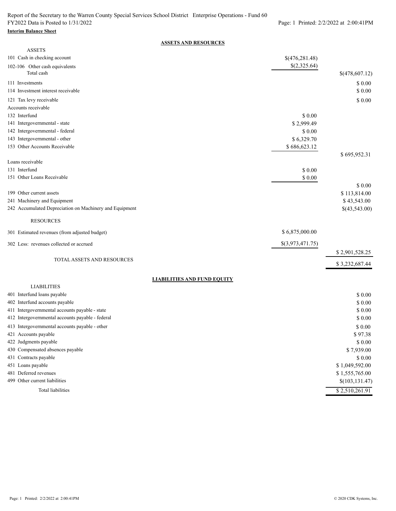#### **Interim Balance Sheet**

#### **ASSETS AND RESOURCES**

| <b>ASSETS</b>                                           |                  |                 |
|---------------------------------------------------------|------------------|-----------------|
| 101 Cash in checking account                            | \$(476,281.48)   |                 |
| 102-106 Other cash equivalents<br>Total cash            | \$(2,325.64)     | \$(478,607.12)  |
|                                                         |                  |                 |
| 111 Investments                                         |                  | \$0.00          |
| 114 Investment interest receivable                      |                  | \$0.00          |
| 121 Tax levy receivable                                 |                  | \$0.00          |
| Accounts receivable                                     |                  |                 |
| 132 Interfund                                           | \$0.00           |                 |
| 141 Intergovernmental - state                           | \$2,999.49       |                 |
| 142 Intergovernmental - federal                         | \$0.00           |                 |
| 143 Intergovernmental - other                           | \$6,329.70       |                 |
| 153 Other Accounts Receivable                           | \$686,623.12     |                 |
| Loans receivable                                        |                  | \$695,952.31    |
| 131 Interfund                                           | \$0.00           |                 |
| 151 Other Loans Receivable                              |                  |                 |
|                                                         | \$ 0.00          | \$0.00          |
| 199 Other current assets                                |                  |                 |
|                                                         |                  | \$113,814.00    |
| 241 Machinery and Equipment                             |                  | \$43,543.00     |
| 242 Accumulated Depreciation on Machinery and Equipment |                  | \$(43,543.00)   |
| <b>RESOURCES</b>                                        |                  |                 |
| 301 Estimated revenues (from adjusted budget)           | \$6,875,000.00   |                 |
| 302 Less: revenues collected or accrued                 | \$(3,973,471.75) |                 |
|                                                         |                  | \$2,901,528.25  |
| TOTAL ASSETS AND RESOURCES                              |                  | \$3,232,687.44  |
| <b>LIABILITIES AND FUND EQUITY</b>                      |                  |                 |
| <b>LIABILITIES</b>                                      |                  |                 |
| 401 Interfund loans payable                             |                  | \$0.00          |
| 402 Interfund accounts payable                          |                  | \$0.00          |
| 411 Intergovernmental accounts payable - state          |                  | \$0.00          |
| 412 Intergovernmental accounts payable - federal        |                  | \$0.00          |
| 413 Intergovernmental accounts payable - other          |                  | \$ 0.00         |
| 421 Accounts payable                                    |                  | \$97.38         |
| 422 Judgments payable                                   |                  | \$0.00          |
| 430 Compensated absences payable                        |                  | \$7,939.00      |
| 431 Contracts payable                                   |                  | \$0.00          |
| 451 Loans payable                                       |                  | \$1,049,592.00  |
| 481 Deferred revenues                                   |                  | \$1,555,765.00  |
| 499 Other current liabilities                           |                  | \$(103, 131.47) |
| <b>Total liabilities</b>                                |                  | \$2,510,261.91  |
|                                                         |                  |                 |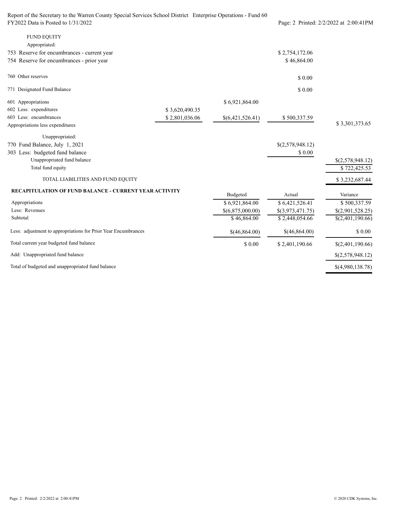| Report of the Secretary to the Warren County Special Services School District Enterprise Operations - Fund 60 |                                        |                  |                  |                  |
|---------------------------------------------------------------------------------------------------------------|----------------------------------------|------------------|------------------|------------------|
| FY2022 Data is Posted to 1/31/2022                                                                            | Page: 2 Printed: 2/2/2022 at 2:00:41PM |                  |                  |                  |
| <b>FUND EQUITY</b>                                                                                            |                                        |                  |                  |                  |
| Appropriated:                                                                                                 |                                        |                  |                  |                  |
| 753 Reserve for encumbrances - current year                                                                   |                                        |                  | \$2,754,172.06   |                  |
| 754 Reserve for encumbrances - prior year                                                                     |                                        |                  | \$46,864.00      |                  |
| 760 Other reserves                                                                                            |                                        |                  | \$0.00           |                  |
| 771 Designated Fund Balance                                                                                   |                                        |                  | \$0.00           |                  |
| 601 Appropriations                                                                                            |                                        | \$6,921,864.00   |                  |                  |
| 602 Less: expenditures                                                                                        | \$3,620,490.35                         |                  |                  |                  |
| 603 Less: encumbrances                                                                                        | \$2,801,036.06                         | \$(6,421,526.41) | \$500,337.59     |                  |
| Appropriations less expenditures                                                                              |                                        |                  |                  | \$3,301,373.65   |
| Unappropriated:                                                                                               |                                        |                  |                  |                  |
| 770 Fund Balance, July 1, 2021                                                                                |                                        |                  | \$(2,578,948.12) |                  |
| 303 Less: budgeted fund balance                                                                               |                                        |                  | \$0.00           |                  |
| Unappropriated fund balance                                                                                   |                                        |                  |                  | \$(2,578,948.12) |
| Total fund equity                                                                                             |                                        |                  |                  | \$722,425.53     |
| TOTAL LIABILITIES AND FUND EQUITY                                                                             |                                        |                  |                  | \$3,232,687.44   |
| <b>RECAPITULATION OF FUND BALANCE - CURRENT YEAR ACTIVITY</b>                                                 |                                        | Budgeted         | Actual           | Variance         |
| Appropriations                                                                                                |                                        | \$6,921,864.00   | \$6,421,526.41   | \$500,337.59     |
| Less: Revenues                                                                                                |                                        | \$(6,875,000.00) | \$(3,973,471.75) | \$(2,901,528.25) |
| Subtotal                                                                                                      |                                        | \$46,864.00      | \$2,448,054.66   | \$(2,401,190.66) |
| Less: adjustment to appropriations for Prior Year Encumbrances                                                |                                        | \$(46,864.00)    | \$(46,864.00)    | \$ 0.00          |
| Total current year budgeted fund balance                                                                      |                                        | \$0.00           | \$2,401,190.66   | \$(2,401,190.66) |
| Add: Unappropriated fund balance                                                                              |                                        |                  |                  | \$(2,578,948.12) |
| Total of budgeted and unappropriated fund balance                                                             |                                        |                  |                  | \$(4,980,138.78) |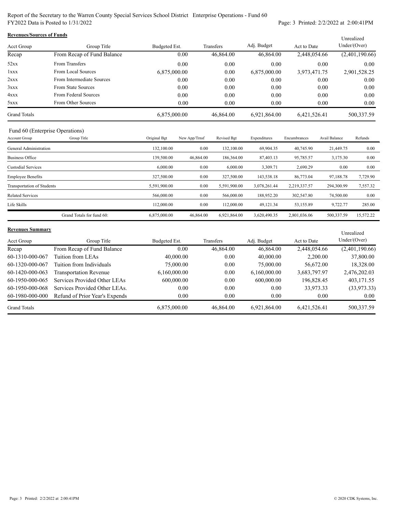Report of the Secretary to the Warren County Special Services School District Enterprise Operations - Fund 60 FY2022 Data is Posted to 1/31/2022 Page: 3 Printed: 2/2/2022 at 2:00:41PM

| <b>Revenues/Sources of Funds</b><br>Unrealized |                            |               |           |              |              |                |  |  |
|------------------------------------------------|----------------------------|---------------|-----------|--------------|--------------|----------------|--|--|
| Acct Group                                     | Group Title                | Budgeted Est. | Transfers | Adj. Budget  | Act to Date  | Under/Over)    |  |  |
| Recap                                          | From Recap of Fund Balance | 0.00          | 46,864.00 | 46,864.00    | 2,448,054.66 | (2,401,190.66) |  |  |
| 52xx                                           | From Transfers             | 0.00          | 0.00      | 0.00         | 0.00         | 0.00           |  |  |
| 1xxx                                           | From Local Sources         | 6,875,000.00  | 0.00      | 6,875,000.00 | 3,973,471.75 | 2,901,528.25   |  |  |
| 2xxx                                           | From Intermediate Sources  | 0.00          | 0.00      | 0.00         | 0.00         | 0.00           |  |  |
| 3xxx                                           | From State Sources         | 0.00          | 0.00      | 0.00         | 0.00         | 0.00           |  |  |
| 4xxx                                           | From Federal Sources       | 0.00          | 0.00      | 0.00         | 0.00         | 0.00           |  |  |
| 5xxx                                           | From Other Sources         | 0.00          | 0.00      | 0.00         | 0.00         | 0.00           |  |  |
| <b>Grand Totals</b>                            |                            | 6,875,000.00  | 46,864.00 | 6,921,864.00 | 6,421,526.41 | 500,337.59     |  |  |

## Fund 60 (Enterprise Operations)

| Account Group              | Group Title               | Original Bgt | New App/Trnsf | Revised Bgt  | Expenditures | Encumbrances | Avail Balance | Refunds   |
|----------------------------|---------------------------|--------------|---------------|--------------|--------------|--------------|---------------|-----------|
| General Administration     |                           | 132,100.00   | 0.00          | 132,100.00   | 69,904.35    | 40,745.90    | 21,449.75     | 0.00      |
| <b>Business Office</b>     |                           | 139,500.00   | 46,864.00     | 186,364.00   | 87,403.13    | 95,785.57    | 3,175.30      | 0.00      |
| <b>Custodial Services</b>  |                           | 6,000.00     | 0.00          | 6,000.00     | 3,309.71     | 2,690.29     | 0.00          | 0.00      |
| <b>Employee Benefits</b>   |                           | 327,500.00   | 0.00          | 327,500.00   | 143,538.18   | 86,773.04    | 97,188.78     | 7,729.90  |
| Transportation of Students |                           | 5,591,900.00 | 0.00          | 5,591,900.00 | 3,078,261.44 | 2,219,337.57 | 294,300.99    | 7,557.32  |
| <b>Related Services</b>    |                           | 566,000.00   | 0.00          | 566,000.00   | 188,952.20   | 302,547.80   | 74,500.00     | 0.00      |
| Life Skills                |                           | 112,000.00   | 0.00          | 112,000.00   | 49,121.34    | 53,155.89    | 9,722.77      | 285.00    |
|                            | Grand Totals for fund 60: | 6,875,000.00 | 46,864.00     | 6.921.864.00 | 3.620.490.35 | 2,801,036.06 | 500,337.59    | 15,572.22 |

#### **Revenues Summary**

| <b>Revenues Summary</b> |                                |               |           |              |              | Unrealized     |
|-------------------------|--------------------------------|---------------|-----------|--------------|--------------|----------------|
| Acct Group              | Group Title                    | Budgeted Est. | Transfers | Adj. Budget  | Act to Date  | Under/Over)    |
| Recap                   | From Recap of Fund Balance     | 0.00          | 46,864.00 | 46,864.00    | 2,448,054.66 | (2,401,190.66) |
| 60-1310-000-067         | Tuition from LEAs              | 40,000.00     | 0.00      | 40,000.00    | 2,200.00     | 37,800.00      |
| 60-1320-000-067         | Tuition from Individuals       | 75,000.00     | 0.00      | 75,000.00    | 56,672.00    | 18,328.00      |
| 60-1420-000-063         | <b>Transportation Revenue</b>  | 6,160,000.00  | 0.00      | 6,160,000.00 | 3,683,797.97 | 2,476,202.03   |
| 60-1950-000-065         | Services Provided Other LEAs   | 600,000.00    | 0.00      | 600,000.00   | 196,828.45   | 403,171.55     |
| 60-1950-000-068         | Services Provided Other LEAs.  | 0.00          | 0.00      | 0.00         | 33,973.33    | (33,973.33)    |
| 60-1980-000-000         | Refund of Prior Year's Expends | 0.00          | 0.00      | 0.00         | 0.00         | $0.00\,$       |
| <b>Grand Totals</b>     |                                | 6,875,000.00  | 46,864.00 | 6,921,864.00 | 6,421,526.41 | 500, 337.59    |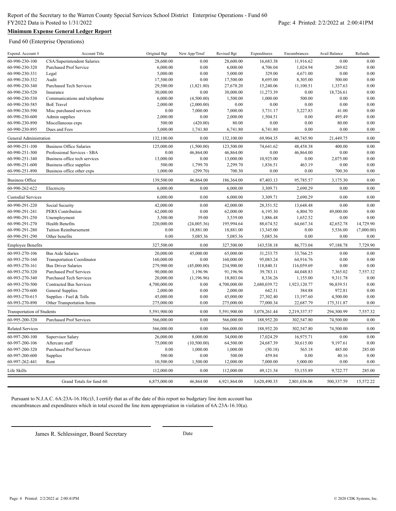## **Minimum Expense General Ledger Report**

Fund 60 (Enterprise Operations)

| Expend. Account #                 | Account Title                     | Original Bgt | New App/Trnsf | Revised Bgt  | Expenditures | Encumbrances | Avail Balance | Refunds    |
|-----------------------------------|-----------------------------------|--------------|---------------|--------------|--------------|--------------|---------------|------------|
| 60-990-230-100                    | CSA/Superintendent Salaries       | 28,600.00    | 0.00          | 28,600.00    | 16,683.38    | 11,916.62    | 0.00          | 0.00       |
| 60-990-230-320                    | <b>Purchased Prof Service</b>     | 6,000.00     | 0.00          | 6,000.00     | 4,706.04     | 1,024.94     | 269.02        | 0.00       |
| 60-990-230-331                    | Legal                             | 5,000.00     | 0.00          | 5,000.00     | 329.00       | 4,671.00     | 0.00          | 0.00       |
| 60-990-230-332                    | Audit                             | 17,500.00    | 0.00          | 17,500.00    | 8,695.00     | 8,305.00     | 500.00        | 0.00       |
| 60-990-230-340                    | <b>Purchased Tech Services</b>    | 29,500.00    | (1,821.80)    | 27,678.20    | 15,240.06    | 11,100.51    | 1,337.63      | 0.00       |
| 60-990-230-520                    | Insurance                         | 30,000.00    | 0.00          | 30,000.00    | 11,273.39    | 0.00         | 18,726.61     | 0.00       |
| 60-990-230-530                    | Communications and telephone      | 6,000.00     | (4,500.00)    | 1,500.00     | 1,000.00     | 500.00       | 0.00          | 0.00       |
| 60-990-230-585                    | <b>BoE</b> Travel                 | 2,000.00     | (2,000.00)    | 0.00         | 0.00         | 0.00         | 0.00          | 0.00       |
| 60-990-230-590                    | Misc purchased services           | 0.00         | 7,000.00      | 7,000.00     | 3,731.17     | 3,227.83     | 41.00         | 0.00       |
| 60-990-230-600                    | Admin supplies                    | 2,000.00     | 0.00          | 2,000.00     | 1,504.51     | 0.00         | 495.49        | 0.00       |
| 60-990-230-890                    | Miscellaneous exps                | 500.00       | (420.00)      | 80.00        | 0.00         | 0.00         | 80.00         | 0.00       |
| 60-990-230-895                    | Dues and Fees                     | 5,000.00     | 1,741.80      | 6,741.80     | 6,741.80     | 0.00         | 0.00          | 0.00       |
| General Administration            |                                   | 132,100.00   | 0.00          | 132,100.00   | 69,904.35    | 40,745.90    | 21,449.75     | 0.00       |
| 60-990-251-100                    | <b>Business Office Salaries</b>   | 125,000.00   | (1,500.00)    | 123,500.00   | 74,641.62    | 48,458.38    | 400.00        | 0.00       |
| 60-990-251-300                    | Professional Services - SBA       | 0.00         | 46,864.00     | 46,864.00    | $0.00\,$     | 46,864.00    | 0.00          | 0.00       |
| 60-990-251-340                    | Business office tech services     | 13,000.00    | 0.00          | 13,000.00    | 10,925.00    | 0.00         | 2,075.00      | 0.00       |
| 60-990-251-600                    | Business office supplies          | 500.00       | 1,799.70      | 2,299.70     | 1,836.51     | 463.19       | 0.00          | 0.00       |
| 60-990-251-890                    | Business office other exps        | 1,000.00     | (299.70)      | 700.30       | 0.00         | 0.00         | 700.30        | 0.00       |
| <b>Business Office</b>            |                                   | 139,500.00   | 46,864.00     | 186,364.00   | 87,403.13    | 95,785.57    | 3,175.30      | 0.00       |
|                                   |                                   |              |               |              |              |              |               |            |
| 60-990-262-622                    | Electricity                       | 6,000.00     | 0.00          | 6,000.00     | 3,309.71     | 2,690.29     | 0.00          | 0.00       |
| <b>Custodial Services</b>         |                                   | 6,000.00     | 0.00          | 6,000.00     | 3,309.71     | 2,690.29     | 0.00          | 0.00       |
| 60-990-291-220                    | Social Security                   | 42,000.00    | $0.00\,$      | 42,000.00    | 28,351.52    | 13,648.48    | 0.00          | 0.00       |
| 60-990-291-241                    | <b>PERS</b> Contribution          | 62,000.00    | 0.00          | 62,000.00    | 6,195.30     | 6,804.70     | 49,000.00     | 0.00       |
| 60-990-291-250                    | Unemployment                      | 3,500.00     | 39.00         | 3,539.00     | 1,886.48     | 1,652.52     | 0.00          | 0.00       |
| 60-990-291-270                    | <b>Health Benefits</b>            | 220,000.00   | (24,005.36)   | 195,994.64   | 88,674.52    | 64,667.34    | 42,652.78     | 14,729.90  |
| 60-990-291-280                    | <b>Tuition Reimbursement</b>      | 0.00         | 18,881.00     | 18,881.00    | 13,345.00    | 0.00         | 5,536.00      | (7,000.00) |
| 60-990-291-290                    | Other benefits                    | 0.00         | 5,085.36      | 5,085.36     | 5,085.36     | 0.00         | 0.00          | 0.00       |
| <b>Employee Benefits</b>          |                                   | 327,500.00   | 0.00          | 327,500.00   | 143,538.18   | 86,773.04    | 97,188.78     | 7,729.90   |
| 60-993-270-106                    | <b>Bus Aide Salaries</b>          | 20,000.00    | 45,000.00     | 65,000.00    | 31,233.75    | 33,766.25    | 0.00          | 0.00       |
| 60-993-270-160                    | <b>Transportation Coordinator</b> | 160,000.00   | 0.00          | 160,000.00   | 95,083.24    | 64,916.76    | 0.00          | 0.00       |
| 60-993-270-161                    | <b>Bus Driver Salaries</b>        | 279,900.00   | (45,000.00)   | 234,900.00   | 118,840.31   | 116,059.69   | 0.00          | 0.00       |
| 60-993-270-320                    | <b>Purchased Prof Services</b>    | 90,000.00    | 1,196.96      | 91,196.96    | 39,783.11    | 44,048.83    | 7,365.02      | 7,557.32   |
| 60-993-270-340                    | <b>Purchased Tech Services</b>    | 20,000.00    | (1, 196.96)   | 18,803.04    | 8,336.26     | 1,155.00     | 9,311.78      | 0.00       |
| 60-993-270-500                    | <b>Contracted Bus Services</b>    | 4,700,000.00 | $0.00\,$      | 4,700,000.00 | 2,680,039.72 | 1,923,120.77 | 96,839.51     | 0.00       |
| 60-993-270-600                    | <b>General Supplies</b>           | 2,000.00     | 0.00          | 2,000.00     | 642.31       | 384.88       | 972.81        | 0.00       |
| 60-993-270-615                    | Supplies - Fuel & Tolls           | 45,000.00    | 0.00          | 45,000.00    | 27,302.40    | 13,197.60    | 4,500.00      | 0.00       |
| 60-993-270-890                    | Other Transportation Items        | 275,000.00   | 0.00          | 275,000.00   | 77,000.34    | 22,687.79    | 175,311.87    | 0.00       |
| <b>Transportation of Students</b> |                                   | 5,591,900.00 | 0.00          | 5,591,900.00 | 3,078,261.44 | 2,219,337.57 | 294,300.99    | 7,557.32   |
| 60-995-200-320                    | <b>Purchased Prof Services</b>    | 566,000.00   | 0.00          | 566,000.00   | 188,952.20   | 302,547.80   | 74,500.00     | 0.00       |
| <b>Related Services</b>           |                                   | 566,000.00   | 0.00          | 566,000.00   | 188,952.20   | 302,547.80   | 74,500.00     | 0.00       |
| 60-997-200-100                    | Supervisor Salary                 | 26,000.00    | 8,000.00      | 34,000.00    | 17,024.29    | 16,975.71    | 0.00          | 0.00       |
| 60-997-200-106                    | Aftercare staff                   | 75,000.00    | (10,500.00)   | 64,500.00    | 24,687.39    | 30,615.00    | 9,197.61      | 0.00       |
| 60-997-200-320                    | <b>Purchased Prof Services</b>    | 0.00         | 1,000.00      | 1,000.00     | (50.18)      | 565.18       | 485.00        | 285.00     |
| 60-997-200-600                    | Supplies                          | 500.00       | 0.00          | 500.00       | 459.84       | 0.00         | 40.16         | 0.00       |
| 60-997-262-441                    | Rent                              | 10,500.00    | 1,500.00      | 12,000.00    | 7,000.00     | 5,000.00     | 0.00          | 0.00       |
| Life Skills                       |                                   | 112,000.00   | 0.00          | 112,000.00   | 49,121.34    | 53,155.89    | 9,722.77      | 285.00     |
|                                   | Grand Totals for fund 60:         | 6,875,000.00 | 46,864.00     | 6,921,864.00 | 3,620,490.35 | 2,801,036.06 | 500,337.59    | 15,572.22  |
|                                   |                                   |              |               |              |              |              |               |            |

Pursuant to N.J.A.C. 6A:23A-16.10(c)3, I certify that as of the date of this report no budgetary line item account has encumbrances and expenditures which in total exceed the line item appropriation in violation of 6A:23A-16.10(a).

James R. Schlessinger, Board Secretary Date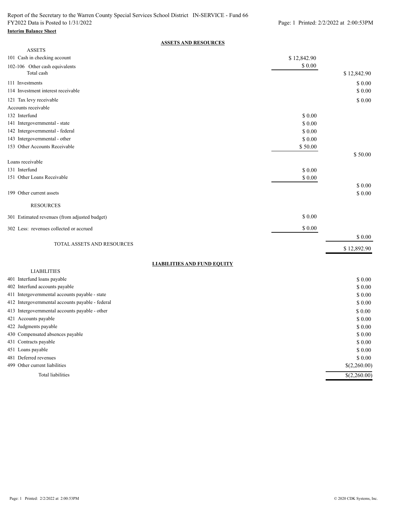#### **Interim Balance Sheet**

### **ASSETS AND RESOURCES**

| <b>ASSETS</b>                                            |             |                           |
|----------------------------------------------------------|-------------|---------------------------|
| 101 Cash in checking account                             | \$12,842.90 |                           |
| 102-106 Other cash equivalents<br>Total cash             | \$ 0.00     | \$12,842.90               |
| 111 Investments                                          |             | \$ 0.00                   |
| 114 Investment interest receivable                       |             | \$0.00                    |
| 121 Tax levy receivable                                  |             | \$0.00                    |
| Accounts receivable                                      |             |                           |
| 132 Interfund                                            | \$ 0.00     |                           |
| 141 Intergovernmental - state                            | \$0.00      |                           |
| 142 Intergovernmental - federal                          | \$ 0.00     |                           |
| 143 Intergovernmental - other                            | \$0.00      |                           |
| 153 Other Accounts Receivable                            | \$50.00     |                           |
|                                                          |             | \$50.00                   |
| Loans receivable                                         |             |                           |
| 131 Interfund                                            | \$0.00      |                           |
| 151 Other Loans Receivable                               | \$ 0.00     |                           |
|                                                          |             | \$0.00                    |
| 199 Other current assets                                 |             | \$0.00                    |
| <b>RESOURCES</b>                                         |             |                           |
| 301 Estimated revenues (from adjusted budget)            | \$0.00      |                           |
| 302 Less: revenues collected or accrued                  | \$0.00      |                           |
|                                                          |             | \$ 0.00                   |
| TOTAL ASSETS AND RESOURCES                               |             | \$12,892.90               |
|                                                          |             |                           |
| <b>LIABILITIES AND FUND EQUITY</b><br><b>LIABILITIES</b> |             |                           |
| 401 Interfund loans payable                              |             | \$0.00                    |
| 402 Interfund accounts payable                           |             | \$ 0.00                   |
| 411 Intergovernmental accounts payable - state           |             | \$ 0.00                   |
| 412 Intergovernmental accounts payable - federal         |             | \$0.00                    |
| 413 Intergovernmental accounts payable - other           |             | \$ 0.00                   |
| 421 Accounts payable                                     |             | \$0.00                    |
| 422 Judgments payable                                    |             | \$0.00                    |
| 430 Compensated absences payable                         |             | \$ 0.00                   |
| 431 Contracts payable                                    |             | \$ 0.00                   |
| 451 Loans payable                                        |             | \$ 0.00                   |
| 481 Deferred revenues                                    |             | \$ 0.00                   |
| 499 Other current liabilities                            |             | \$(2,260.00)              |
| Total liabilities                                        |             | $\overline{\$(2,260.00)}$ |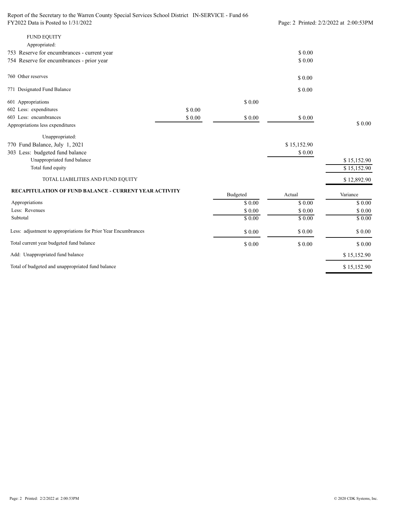| Report of the Secretary to the Warren County Special Services School District IN-SERVICE - Fund 66 |                                        |          |             |             |
|----------------------------------------------------------------------------------------------------|----------------------------------------|----------|-------------|-------------|
| FY2022 Data is Posted to 1/31/2022                                                                 | Page: 2 Printed: 2/2/2022 at 2:00:53PM |          |             |             |
| <b>FUND EQUITY</b>                                                                                 |                                        |          |             |             |
| Appropriated:                                                                                      |                                        |          |             |             |
| 753 Reserve for encumbrances - current year                                                        |                                        |          | \$0.00      |             |
| 754 Reserve for encumbrances - prior year                                                          |                                        |          | \$0.00      |             |
| 760 Other reserves                                                                                 |                                        |          | \$0.00      |             |
| 771 Designated Fund Balance                                                                        |                                        |          | \$0.00      |             |
| 601 Appropriations                                                                                 |                                        | \$0.00   |             |             |
| 602 Less: expenditures                                                                             | \$0.00                                 |          |             |             |
| 603 Less: encumbrances                                                                             | \$0.00                                 | \$0.00   | \$0.00      |             |
| Appropriations less expenditures                                                                   |                                        |          |             | \$0.00      |
| Unappropriated:                                                                                    |                                        |          |             |             |
| 770 Fund Balance, July 1, 2021                                                                     |                                        |          | \$15,152.90 |             |
| 303 Less: budgeted fund balance                                                                    |                                        |          | \$0.00      |             |
| Unappropriated fund balance                                                                        |                                        |          |             | \$15,152.90 |
| Total fund equity                                                                                  |                                        |          |             | \$15,152.90 |
| TOTAL LIABILITIES AND FUND EQUITY                                                                  |                                        |          |             | \$12,892.90 |
| <b>RECAPITULATION OF FUND BALANCE - CURRENT YEAR ACTIVITY</b>                                      |                                        | Budgeted | Actual      | Variance    |
| Appropriations                                                                                     |                                        | \$0.00   | \$0.00      | \$0.00      |
| Less: Revenues                                                                                     |                                        | \$0.00   | \$0.00      | \$0.00      |
| Subtotal                                                                                           |                                        | \$0.00   | \$0.00      | \$0.00      |
| Less: adjustment to appropriations for Prior Year Encumbrances                                     |                                        | \$0.00   | $\$$ $0.00$ | \$ 0.00     |
| Total current year budgeted fund balance                                                           |                                        | \$0.00   | \$0.00      | \$0.00      |
| Add: Unappropriated fund balance                                                                   |                                        |          |             | \$15,152.90 |
| Total of budgeted and unappropriated fund balance                                                  |                                        |          |             | \$15,152.90 |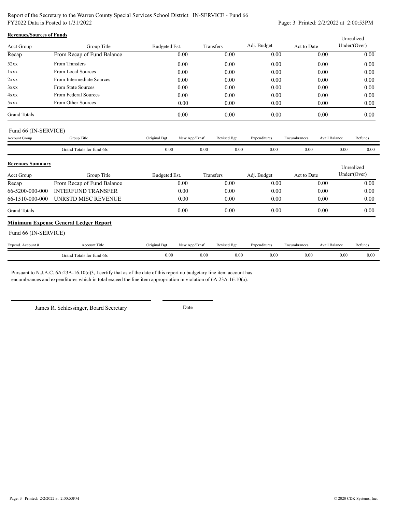Report of the Secretary to the Warren County Special Services School District IN-SERVICE - Fund 66 FY2022 Data is Posted to 1/31/2022 Page: 3 Printed: 2/2/2022 at 2:00:53PM

| <b>Revenues/Sources of Funds</b> |                                              |               |               |             |              |              |                      | Unrealized   |
|----------------------------------|----------------------------------------------|---------------|---------------|-------------|--------------|--------------|----------------------|--------------|
| <b>Acct Group</b>                | Group Title                                  | Budgeted Est. |               | Transfers   | Adj. Budget  | Act to Date  |                      | Under/(Over) |
| Recap                            | From Recap of Fund Balance                   |               | 0.00          | 0.00        | 0.00         | 0.00         |                      | 0.00         |
| 52xx                             | From Transfers                               |               | 0.00          | 0.00        | 0.00         | 0.00         |                      | 0.00         |
| 1xxx                             | From Local Sources                           |               | 0.00          | 0.00        | 0.00         | 0.00         |                      | 0.00         |
| 2xxx                             | From Intermediate Sources                    |               | 0.00          | 0.00        | 0.00         | 0.00         |                      | 0.00         |
| 3xxx                             | From State Sources                           |               | 0.00          | 0.00        | 0.00         | 0.00         |                      | 0.00         |
| 4xxx                             | From Federal Sources                         |               | 0.00          | 0.00        | 0.00         | 0.00         |                      | 0.00         |
| 5xxx                             | From Other Sources                           |               | 0.00          | 0.00        | 0.00         | 0.00         |                      | 0.00         |
| <b>Grand Totals</b>              |                                              |               | 0.00          | 0.00        | 0.00         | 0.00         |                      | 0.00         |
| Fund 66 (IN-SERVICE)             |                                              |               |               |             |              |              |                      |              |
| <b>Account Group</b>             | Group Title                                  | Original Bgt  | New App/Trnsf | Revised Bgt | Expenditures | Encumbrances | Avail Balance        | Refunds      |
|                                  | Grand Totals for fund 66:                    | 0.00          | 0.00          | 0.00        | 0.00         | 0.00         | 0.00                 | 0.00         |
| <b>Revenues Summary</b>          |                                              |               |               |             |              |              |                      | Unrealized   |
| Acct Group                       | Group Title                                  | Budgeted Est. |               | Transfers   | Adj. Budget  | Act to Date  |                      | Under/(Over) |
| Recap                            | From Recap of Fund Balance                   |               | 0.00          | 0.00        | 0.00         | 0.00         |                      | 0.00         |
| 66-5200-000-000                  | <b>INTERFUND TRANSFER</b>                    |               | 0.00          | 0.00        | 0.00         | 0.00         |                      | 0.00         |
| 66-1510-000-000                  | UNRSTD MISC REVENUE                          |               | 0.00          | 0.00        | 0.00         | 0.00         |                      | 0.00         |
| <b>Grand Totals</b>              |                                              |               | 0.00          | 0.00        | 0.00         | 0.00         |                      | 0.00         |
|                                  | <b>Minimum Expense General Ledger Report</b> |               |               |             |              |              |                      |              |
| Fund 66 (IN-SERVICE)             |                                              |               |               |             |              |              |                      |              |
| Expend. Account #                | <b>Account Title</b>                         | Original Bgt  | New App/Trnsf | Revised Bgt | Expenditures | Encumbrances | <b>Avail Balance</b> | Refunds      |
|                                  | Grand Totals for fund 66:                    | 0.00          | 0.00          | 0.00        | 0.00         | 0.00         | 0.00                 | 0.00         |

Pursuant to N.J.A.C. 6A:23A-16.10(c)3, I certify that as of the date of this report no budgetary line item account has encumbrances and expenditures which in total exceed the line item appropriation in violation of 6A:23A-16.10(a).

James R. Schlessinger, Board Secretary Date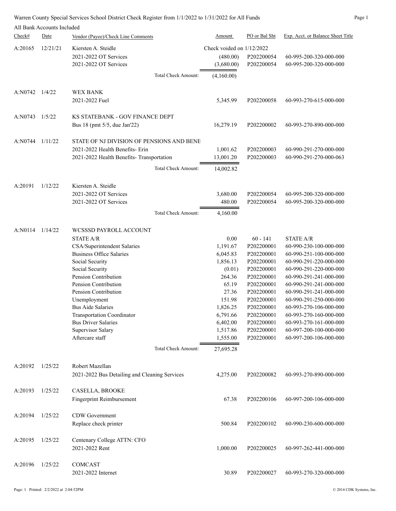|                        | All Bank Accounts Included |                                               |                                       |               |                                   |
|------------------------|----------------------------|-----------------------------------------------|---------------------------------------|---------------|-----------------------------------|
| Check#                 | Date                       | Vendor (Payee)/Check Line Comments            | <b>Amount</b>                         | PO or Bal Sht | Exp. Acct. or Balance Sheet Title |
| A:20165                | 12/21/21                   | Kiersten A. Steidle<br>2021-2022 OT Services  | Check voided on 1/12/2022<br>(480.00) | P202200054    | 60-995-200-320-000-000            |
|                        |                            | 2021-2022 OT Services                         | (3,680.00)                            | P202200054    | 60-995-200-320-000-000            |
|                        |                            | Total Check Amount:                           | (4,160.00)                            |               |                                   |
| $A:NO742 \quad 1/4/22$ |                            | <b>WEX BANK</b>                               |                                       |               |                                   |
|                        |                            | 2021-2022 Fuel                                | 5,345.99                              | P202200058    | 60-993-270-615-000-000            |
| A:NO743                | 1/5/22                     | KS STATEBANK - GOV FINANCE DEPT               |                                       |               |                                   |
|                        |                            | Bus 18 (pmt 5/5, due Jan'22)                  | 16,279.19                             | P202200002    | 60-993-270-890-000-000            |
| A:N0744                | 1/11/22                    | STATE OF NJ DIVISION OF PENSIONS AND BENE     |                                       |               |                                   |
|                        |                            | 2021-2022 Health Benefits- Erin               | 1,001.62                              | P202200003    | 60-990-291-270-000-000            |
|                        |                            | 2021-2022 Health Benefits- Transportation     | 13,001.20                             | P202200003    | 60-990-291-270-000-063            |
|                        |                            | Total Check Amount:                           | 14,002.82                             |               |                                   |
| A:20191                | 1/12/22                    | Kiersten A. Steidle                           |                                       |               |                                   |
|                        |                            | 2021-2022 OT Services                         |                                       | P202200054    | 60-995-200-320-000-000            |
|                        |                            | 2021-2022 OT Services                         | 3,680.00<br>480.00                    | P202200054    | 60-995-200-320-000-000            |
|                        |                            | Total Check Amount:                           | 4,160.00                              |               |                                   |
| A:N0114 1/14/22        |                            | WCSSSD PAYROLL ACCOUNT                        |                                       |               |                                   |
|                        |                            | STATE A/R                                     | 0.00                                  | $60 - 141$    | <b>STATE A/R</b>                  |
|                        |                            | CSA/Superintendent Salaries                   | 1,191.67                              | P202200001    | 60-990-230-100-000-000            |
|                        |                            | <b>Business Office Salaries</b>               | 6,045.83                              | P202200001    | 60-990-251-100-000-000            |
|                        |                            | Social Security                               | 1,856.13                              | P202200001    | 60-990-291-220-000-000            |
|                        |                            | Social Security                               | (0.01)                                | P202200001    | 60-990-291-220-000-000            |
|                        |                            | Pension Contribution                          | 264.36                                | P202200001    | 60-990-291-241-000-000            |
|                        |                            | Pension Contribution                          | 65.19                                 | P202200001    | 60-990-291-241-000-000            |
|                        |                            | Pension Contribution                          | 27.36                                 | P202200001    | 60-990-291-241-000-000            |
|                        |                            | Unemployment                                  | 151.98                                | P202200001    | 60-990-291-250-000-000            |
|                        |                            | <b>Bus Aide Salaries</b>                      | 1,826.25                              | P202200001    | 60-993-270-106-000-000            |
|                        |                            | <b>Transportation Coordinator</b>             | 6,791.66                              | P202200001    | 60-993-270-160-000-000            |
|                        |                            | <b>Bus Driver Salaries</b>                    | 6,402.00                              | P202200001    | 60-993-270-161-000-000            |
|                        |                            | Supervisor Salary                             | 1,517.86                              | P202200001    | 60-997-200-100-000-000            |
|                        |                            | Aftercare staff                               | 1,555.00                              | P202200001    | 60-997-200-106-000-000            |
|                        |                            | Total Check Amount:                           | 27,695.28                             |               |                                   |
| A:20192                | 1/25/22                    | Robert Mazellan                               |                                       |               |                                   |
|                        |                            | 2021-2022 Bus Detailing and Cleaning Services | 4,275.00                              | P202200082    | 60-993-270-890-000-000            |
| A:20193                | 1/25/22                    | CASELLA, BROOKE                               |                                       |               |                                   |
|                        |                            | Fingerprint Reimbursement                     | 67.38                                 | P202200106    | 60-997-200-106-000-000            |
| A:20194                | 1/25/22                    | <b>CDW</b> Government                         |                                       |               |                                   |
|                        |                            | Replace check printer                         | 500.84                                | P202200102    | 60-990-230-600-000-000            |
| A:20195                | 1/25/22                    | Centenary College ATTN: CFO                   |                                       |               |                                   |
|                        |                            | 2021-2022 Rent                                | 1,000.00                              | P202200025    | 60-997-262-441-000-000            |
| A:20196                | 1/25/22                    | COMCAST                                       |                                       |               |                                   |
|                        |                            | 2021-2022 Internet                            | 30.89                                 | P202200027    | 60-993-270-320-000-000            |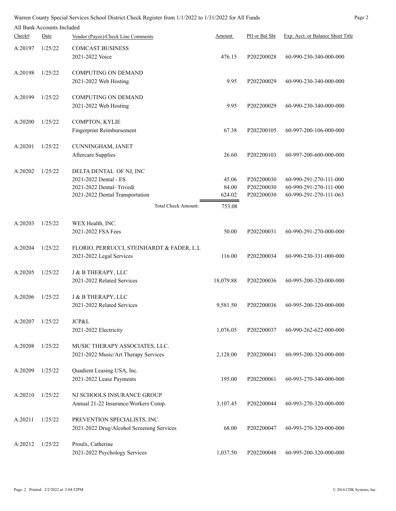|         | All Bank Accounts Included |                                                             |                 |                          |                                                  |
|---------|----------------------------|-------------------------------------------------------------|-----------------|--------------------------|--------------------------------------------------|
| Check#  | Date                       | Vendor (Payee)/Check Line Comments                          | <u>Amount</u>   | PO or Bal Sht            | Exp. Acct. or Balance Sheet Title                |
| A:20197 | 1/25/22                    | <b>COMCAST BUSINESS</b>                                     |                 |                          |                                                  |
|         |                            | 2021-2022 Voice                                             | 476.15          | P202200028               | 60-990-230-340-000-000                           |
| A:20198 | 1/25/22                    | <b>COMPUTING ON DEMAND</b>                                  |                 |                          |                                                  |
|         |                            | 2021-2022 Web Hosting                                       | 9.95            | P202200029               | 60-990-230-340-000-000                           |
| A:20199 | 1/25/22                    | <b>COMPUTING ON DEMAND</b>                                  |                 |                          |                                                  |
|         |                            | 2021-2022 Web Hosting                                       | 9.95            | P202200029               | 60-990-230-340-000-000                           |
| A:20200 | 1/25/22                    | COMPTON, KYLIE                                              |                 |                          |                                                  |
|         |                            | Fingerprint Reimbursement                                   | 67.38           | P202200105               | 60-997-200-106-000-000                           |
| A:20201 | 1/25/22                    | CUNNINGHAM, JANET                                           |                 |                          |                                                  |
|         |                            | Aftercare Supplies                                          | 26.60           | P202200103               | 60-997-200-600-000-000                           |
| A:20202 | 1/25/22                    | DELTA DENTAL OF NJ, INC                                     |                 |                          |                                                  |
|         |                            | 2021-2022 Dental - ES                                       | 45.06           | P202200030               | 60-990-291-270-111-000                           |
|         |                            | 2021-2022 Dental-Trivedi<br>2021-2022 Dental Transportation | 84.00<br>624.02 | P202200030<br>P202200030 | 60-990-291-270-111-000<br>60-990-291-270-111-063 |
|         |                            | <b>Total Check Amount:</b>                                  |                 |                          |                                                  |
|         |                            |                                                             | 753.08          |                          |                                                  |
| A:20203 | 1/25/22                    | WEX Health, INC.                                            |                 |                          |                                                  |
|         |                            | 2021-2022 FSA Fees                                          | 50.00           | P202200031               | 60-990-291-270-000-000                           |
| A:20204 | 1/25/22                    | FLORIO, PERRUCCI, STEINHARDT & FADER, L.L                   |                 |                          |                                                  |
|         |                            | 2021-2022 Legal Services                                    | 116.00          | P202200034               | 60-990-230-331-000-000                           |
| A:20205 | 1/25/22                    | J & B THERAPY, LLC                                          |                 |                          |                                                  |
|         |                            | 2021-2022 Related Services                                  | 18,079.88       | P202200036               | 60-995-200-320-000-000                           |
| A:20206 | 1/25/22                    | J & B THERAPY, LLC                                          |                 |                          |                                                  |
|         |                            | 2021-2022 Related Services                                  | 9,581.50        | P202200036               | 60-995-200-320-000-000                           |
| A:20207 | 1/25/22                    | JCP&L                                                       |                 |                          |                                                  |
|         |                            | 2021-2022 Electricity                                       | 1,076.05        | P202200037               | 60-990-262-622-000-000                           |
| A:20208 | 1/25/22                    | MUSIC THERAPY ASSOCIATES, LLC.                              |                 |                          |                                                  |
|         |                            | 2021-2022 Music/Art Therapy Services                        | 2,128.00        | P202200041               | 60-995-200-320-000-000                           |
| A:20209 | 1/25/22                    | Quadient Leasing USA, Inc.                                  |                 |                          |                                                  |
|         |                            | 2021-2022 Lease Payments                                    | 195.00          | P202200061               | 60-993-270-340-000-000                           |
| A:20210 | 1/25/22                    | NJ SCHOOLS INSURANCE GROUP                                  |                 |                          |                                                  |
|         |                            | Annual 21-22 Insurance/Workers Comp.                        | 3,107.45        | P202200044               | 60-993-270-320-000-000                           |
| A:20211 | 1/25/22                    | PREVENTION SPECIALISTS, INC.                                |                 |                          |                                                  |
|         |                            | 2021-2022 Drug/Alcohol Screening Services                   | 68.00           | P202200047               | 60-993-270-320-000-000                           |
| A:20212 | 1/25/22                    | Proulx, Catherine                                           |                 |                          |                                                  |
|         |                            | 2021-2022 Psychology Services                               | 1,037.50        | P202200048               | 60-995-200-320-000-000                           |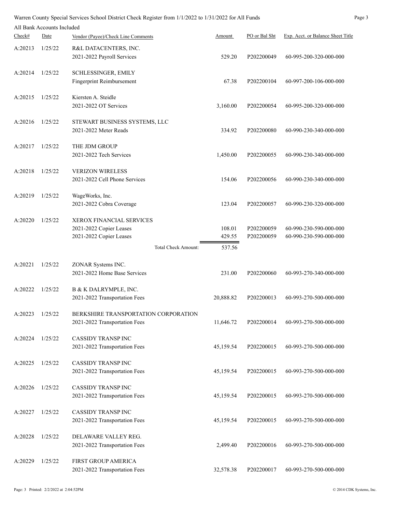|         | All Bank Accounts Included |                                                     |           |               |                                   |
|---------|----------------------------|-----------------------------------------------------|-----------|---------------|-----------------------------------|
| Check#  | Date                       | Vendor (Payee)/Check Line Comments                  | Amount    | PO or Bal Sht | Exp. Acct. or Balance Sheet Title |
| A:20213 | 1/25/22                    | R&L DATACENTERS, INC.<br>2021-2022 Payroll Services | 529.20    | P202200049    | 60-995-200-320-000-000            |
|         |                            |                                                     |           |               |                                   |
| A:20214 | 1/25/22                    | SCHLESSINGER, EMILY                                 |           |               |                                   |
|         |                            | <b>Fingerprint Reimbursement</b>                    | 67.38     | P202200104    | 60-997-200-106-000-000            |
| A:20215 | 1/25/22                    | Kiersten A. Steidle                                 |           |               |                                   |
|         |                            | 2021-2022 OT Services                               | 3,160.00  | P202200054    | 60-995-200-320-000-000            |
| A:20216 | 1/25/22                    | STEWART BUSINESS SYSTEMS, LLC                       |           |               |                                   |
|         |                            | 2021-2022 Meter Reads                               | 334.92    | P202200080    | 60-990-230-340-000-000            |
| A:20217 | 1/25/22                    | THE JDM GROUP                                       |           |               |                                   |
|         |                            | 2021-2022 Tech Services                             | 1,450.00  | P202200055    | 60-990-230-340-000-000            |
| A:20218 | 1/25/22                    | <b>VERIZON WIRELESS</b>                             |           |               |                                   |
|         |                            | 2021-2022 Cell Phone Services                       | 154.06    | P202200056    | 60-990-230-340-000-000            |
| A:20219 | 1/25/22                    | WageWorks, Inc.                                     |           |               |                                   |
|         |                            | 2021-2022 Cobra Coverage                            | 123.04    | P202200057    | 60-990-230-320-000-000            |
| A:20220 | 1/25/22                    | XEROX FINANCIAL SERVICES                            |           |               |                                   |
|         |                            | 2021-2022 Copier Leases                             | 108.01    | P202200059    | 60-990-230-590-000-000            |
|         |                            | 2021-2022 Copier Leases                             | 429.55    | P202200059    | 60-990-230-590-000-000            |
|         |                            | Total Check Amount:                                 | 537.56    |               |                                   |
| A:20221 | 1/25/22                    | ZONAR Systems INC.                                  |           |               |                                   |
|         |                            | 2021-2022 Home Base Services                        | 231.00    | P202200060    | 60-993-270-340-000-000            |
| A:20222 | 1/25/22                    | B & K DALRYMPLE, INC.                               |           |               |                                   |
|         |                            | 2021-2022 Transportation Fees                       | 20,888.82 | P202200013    | 60-993-270-500-000-000            |
| A:20223 | 1/25/22                    | BERKSHIRE TRANSPORTATION CORPORATION                |           |               |                                   |
|         |                            | 2021-2022 Transportation Fees                       | 11,646.72 | P202200014    | 60-993-270-500-000-000            |
| A:20224 | 1/25/22                    | <b>CASSIDY TRANSP INC</b>                           |           |               |                                   |
|         |                            | 2021-2022 Transportation Fees                       | 45,159.54 | P202200015    | 60-993-270-500-000-000            |
| A:20225 | 1/25/22                    | CASSIDY TRANSP INC                                  |           |               |                                   |
|         |                            | 2021-2022 Transportation Fees                       | 45,159.54 | P202200015    | 60-993-270-500-000-000            |
| A:20226 | 1/25/22                    | <b>CASSIDY TRANSPINC</b>                            |           |               |                                   |
|         |                            | 2021-2022 Transportation Fees                       | 45,159.54 | P202200015    | 60-993-270-500-000-000            |
| A:20227 | 1/25/22                    | <b>CASSIDY TRANSP INC</b>                           |           |               |                                   |
|         |                            | 2021-2022 Transportation Fees                       | 45,159.54 | P202200015    | 60-993-270-500-000-000            |
| A:20228 | 1/25/22                    | DELAWARE VALLEY REG.                                |           |               |                                   |
|         |                            | 2021-2022 Transportation Fees                       | 2,499.40  | P202200016    | 60-993-270-500-000-000            |
| A:20229 | 1/25/22                    | FIRST GROUP AMERICA                                 |           |               |                                   |
|         |                            | 2021-2022 Transportation Fees                       | 32,578.38 | P202200017    | 60-993-270-500-000-000            |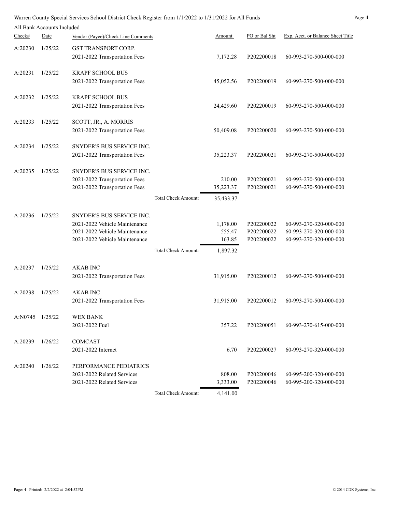| Warren County Special Services School District Check Register from 1/1/2022 to 1/31/2022 for All Funds | Page 4 |
|--------------------------------------------------------------------------------------------------------|--------|
|--------------------------------------------------------------------------------------------------------|--------|

| All Bank Accounts Included |  |
|----------------------------|--|

| Check#          | Date    | Vendor (Payee)/Check Line Comments                             |                     | Amount             | PO or Bal Sht            | Exp. Acct. or Balance Sheet Title                |
|-----------------|---------|----------------------------------------------------------------|---------------------|--------------------|--------------------------|--------------------------------------------------|
|                 |         |                                                                |                     |                    |                          |                                                  |
| A:20230         | 1/25/22 | GST TRANSPORT CORP.<br>2021-2022 Transportation Fees           |                     | 7,172.28           | P202200018               | 60-993-270-500-000-000                           |
|                 |         |                                                                |                     |                    |                          |                                                  |
| A:20231         | 1/25/22 | <b>KRAPF SCHOOL BUS</b>                                        |                     |                    |                          |                                                  |
|                 |         | 2021-2022 Transportation Fees                                  |                     | 45,052.56          | P202200019               | 60-993-270-500-000-000                           |
| A:20232         | 1/25/22 | <b>KRAPF SCHOOL BUS</b>                                        |                     |                    |                          |                                                  |
|                 |         | 2021-2022 Transportation Fees                                  |                     | 24,429.60          | P202200019               | 60-993-270-500-000-000                           |
| A:20233         | 1/25/22 | SCOTT, JR., A. MORRIS                                          |                     |                    |                          |                                                  |
|                 |         | 2021-2022 Transportation Fees                                  |                     | 50,409.08          | P202200020               | 60-993-270-500-000-000                           |
|                 |         |                                                                |                     |                    |                          |                                                  |
| A:20234         | 1/25/22 | SNYDER'S BUS SERVICE INC.                                      |                     |                    |                          |                                                  |
|                 |         | 2021-2022 Transportation Fees                                  |                     | 35,223.37          | P202200021               | 60-993-270-500-000-000                           |
| A:20235         | 1/25/22 | SNYDER'S BUS SERVICE INC.                                      |                     |                    |                          |                                                  |
|                 |         | 2021-2022 Transportation Fees                                  |                     | 210.00             | P202200021               | 60-993-270-500-000-000                           |
|                 |         | 2021-2022 Transportation Fees                                  |                     | 35,223.37          | P202200021               | 60-993-270-500-000-000                           |
|                 |         |                                                                | Total Check Amount: | 35,433.37          |                          |                                                  |
|                 |         |                                                                |                     |                    |                          |                                                  |
| A:20236         | 1/25/22 | SNYDER'S BUS SERVICE INC.                                      |                     |                    |                          |                                                  |
|                 |         | 2021-2022 Vehicle Maintenance<br>2021-2022 Vehicle Maintenance |                     | 1,178.00<br>555.47 | P202200022<br>P202200022 | 60-993-270-320-000-000<br>60-993-270-320-000-000 |
|                 |         | 2021-2022 Vehicle Maintenance                                  |                     | 163.85             | P202200022               | 60-993-270-320-000-000                           |
|                 |         |                                                                | Total Check Amount: | 1,897.32           |                          |                                                  |
|                 |         |                                                                |                     |                    |                          |                                                  |
| A:20237         | 1/25/22 | <b>AKAB INC</b>                                                |                     |                    |                          |                                                  |
|                 |         | 2021-2022 Transportation Fees                                  |                     | 31,915.00          | P202200012               | 60-993-270-500-000-000                           |
| A:20238         | 1/25/22 | <b>AKAB INC</b>                                                |                     |                    |                          |                                                  |
|                 |         | 2021-2022 Transportation Fees                                  |                     | 31,915.00          | P202200012               | 60-993-270-500-000-000                           |
|                 |         |                                                                |                     |                    |                          |                                                  |
| A:N0745 1/25/22 |         | WEX BANK<br>2021-2022 Fuel                                     |                     | 357.22             | P202200051               | 60-993-270-615-000-000                           |
|                 |         |                                                                |                     |                    |                          |                                                  |
| A:20239         | 1/26/22 | COMCAST                                                        |                     |                    |                          |                                                  |
|                 |         | 2021-2022 Internet                                             |                     | 6.70               | P202200027               | 60-993-270-320-000-000                           |
| A:20240         | 1/26/22 | PERFORMANCE PEDIATRICS                                         |                     |                    |                          |                                                  |
|                 |         | 2021-2022 Related Services                                     |                     | 808.00             | P202200046               | 60-995-200-320-000-000                           |
|                 |         | 2021-2022 Related Services                                     |                     | 3,333.00           | P202200046               | 60-995-200-320-000-000                           |
|                 |         |                                                                | Total Check Amount: | 4,141.00           |                          |                                                  |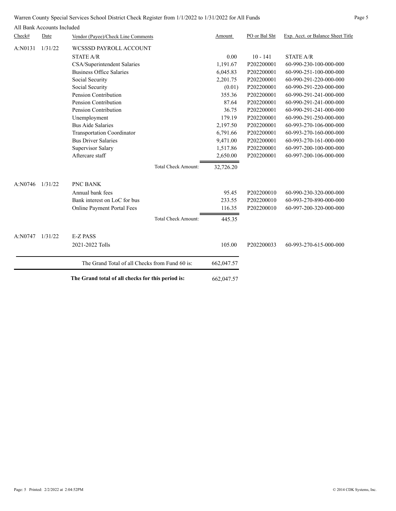Warren County Special Services School District Check Register from 1/1/2022 to 1/31/2022 for All Funds Page 5

|         | All Bank Accounts Included |                                                   |                            |            |               |                                   |
|---------|----------------------------|---------------------------------------------------|----------------------------|------------|---------------|-----------------------------------|
| Check#  | Date                       | Vendor (Payee)/Check Line Comments                |                            | Amount     | PO or Bal Sht | Exp. Acct. or Balance Sheet Title |
| A:N0131 | 1/31/22                    | WCSSSD PAYROLL ACCOUNT                            |                            |            |               |                                   |
|         |                            | <b>STATE A/R</b>                                  |                            | 0.00       | $10 - 141$    | <b>STATE A/R</b>                  |
|         |                            | CSA/Superintendent Salaries                       |                            | 1,191.67   | P202200001    | 60-990-230-100-000-000            |
|         |                            | <b>Business Office Salaries</b>                   |                            | 6,045.83   | P202200001    | 60-990-251-100-000-000            |
|         |                            | Social Security                                   |                            | 2,201.75   | P202200001    | 60-990-291-220-000-000            |
|         |                            | Social Security                                   |                            | (0.01)     | P202200001    | 60-990-291-220-000-000            |
|         |                            | Pension Contribution                              |                            | 355.36     | P202200001    | 60-990-291-241-000-000            |
|         |                            | Pension Contribution                              |                            | 87.64      | P202200001    | 60-990-291-241-000-000            |
|         |                            | Pension Contribution                              |                            | 36.75      | P202200001    | 60-990-291-241-000-000            |
|         |                            | Unemployment                                      |                            | 179.19     | P202200001    | 60-990-291-250-000-000            |
|         |                            | <b>Bus Aide Salaries</b>                          |                            | 2,197.50   | P202200001    | 60-993-270-106-000-000            |
|         |                            | <b>Transportation Coordinator</b>                 |                            | 6,791.66   | P202200001    | 60-993-270-160-000-000            |
|         |                            | <b>Bus Driver Salaries</b>                        |                            | 9,471.00   | P202200001    | 60-993-270-161-000-000            |
|         |                            | Supervisor Salary                                 |                            | 1,517.86   | P202200001    | 60-997-200-100-000-000            |
|         |                            | Aftercare staff                                   |                            | 2,650.00   | P202200001    | 60-997-200-106-000-000            |
|         |                            |                                                   | <b>Total Check Amount:</b> | 32,726.20  |               |                                   |
| A:NO746 | 1/31/22                    | PNC BANK                                          |                            |            |               |                                   |
|         |                            | Annual bank fees                                  |                            | 95.45      | P202200010    | 60-990-230-320-000-000            |
|         |                            | Bank interest on LoC for bus                      |                            | 233.55     | P202200010    | 60-993-270-890-000-000            |
|         |                            | Online Payment Portal Fees                        |                            | 116.35     | P202200010    | 60-997-200-320-000-000            |
|         |                            |                                                   | <b>Total Check Amount:</b> | 445.35     |               |                                   |
| A:N0747 | 1/31/22                    | <b>E-Z PASS</b>                                   |                            |            |               |                                   |
|         |                            | 2021-2022 Tolls                                   |                            | 105.00     | P202200033    | 60-993-270-615-000-000            |
|         |                            | The Grand Total of all Checks from Fund 60 is:    |                            | 662,047.57 |               |                                   |
|         |                            | The Grand total of all checks for this period is: | 662,047.57                 |            |               |                                   |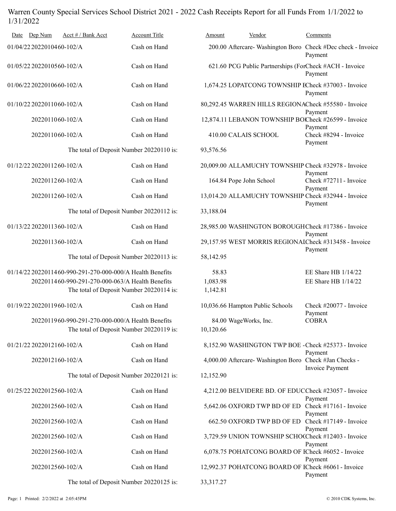# Warren County Special Services School District 2021 - 2022 Cash Receipts Report for all Funds From 1/1/2022 to 1/31/2022

| Dep Num<br>Date            | Acct # / Bank Acct                                                                           | Account Title | Amount                             | Vendor                                                  | Comments                                                               |
|----------------------------|----------------------------------------------------------------------------------------------|---------------|------------------------------------|---------------------------------------------------------|------------------------------------------------------------------------|
| 01/04/22 2022010460-102/A  |                                                                                              | Cash on Hand  |                                    |                                                         | 200.00 Aftercare-Washington Boro Check #Dec check - Invoice<br>Payment |
| 01/05/22 2022010560-102/A  |                                                                                              | Cash on Hand  |                                    |                                                         | 621.60 PCG Public Partnerships (ForCheck #ACH - Invoice<br>Payment     |
| 01/06/22 2022010660-102/A  |                                                                                              | Cash on Hand  |                                    |                                                         | 1,674.25 LOPATCONG TOWNSHIP ECheck #37003 - Invoice<br>Payment         |
| 01/10/22 2022011060-102/A  |                                                                                              | Cash on Hand  |                                    |                                                         | 80,292.45 WARREN HILLS REGIONACheck #55580 - Invoice<br>Payment        |
| 2022011060-102/A           |                                                                                              | Cash on Hand  |                                    |                                                         | 12,874.11 LEBANON TOWNSHIP BOCheck #26599 - Invoice                    |
| 2022011060-102/A           |                                                                                              | Cash on Hand  | 410.00 CALAIS SCHOOL               |                                                         | Payment<br>Check #8294 - Invoice<br>Payment                            |
|                            | The total of Deposit Number 20220110 is:                                                     |               | 93,576.56                          |                                                         |                                                                        |
| 01/12/22 20220112 60-102/A |                                                                                              | Cash on Hand  |                                    |                                                         | 20,009.00 ALLAMUCHY TOWNSHIP Check #32978 - Invoice<br>Payment         |
| 2022011260-102/A           |                                                                                              | Cash on Hand  | 164.84 Pope John School            |                                                         | Check #72711 - Invoice<br>Payment                                      |
| 2022011260-102/A           |                                                                                              | Cash on Hand  |                                    |                                                         | 13,014.20 ALLAMUCHY TOWNSHIP Check #32944 - Invoice<br>Payment         |
|                            | The total of Deposit Number 20220112 is:                                                     |               | 33,188.04                          |                                                         |                                                                        |
| 01/13/22 20220113 60-102/A |                                                                                              | Cash on Hand  |                                    |                                                         | 28,985.00 WASHINGTON BOROUGHCheck #17386 - Invoice<br>Payment          |
| 2022011360-102/A           |                                                                                              | Cash on Hand  |                                    |                                                         | 29,157.95 WEST MORRIS REGIONAICheck #313458 - Invoice                  |
|                            | The total of Deposit Number 20220113 is:                                                     |               | 58,142.95                          |                                                         | Payment                                                                |
|                            | 01/14/22 20220114 60-990-291-270-000-000/A Health Benefits                                   |               | 58.83                              |                                                         | EE Share HB 1/14/22                                                    |
|                            | 2022011460-990-291-270-000-063/A Health Benefits                                             |               | 1,083.98                           |                                                         | EE Share HB 1/14/22                                                    |
|                            | The total of Deposit Number 20220114 is:                                                     |               | 1,142.81                           |                                                         |                                                                        |
| 01/19/22 2022011960-102/A  |                                                                                              | Cash on Hand  |                                    | 10,036.66 Hampton Public Schools                        | Check #20077 - Invoice<br>Payment                                      |
|                            | 2022011960-990-291-270-000-000/A Health Benefits<br>The total of Deposit Number 20220119 is: |               | 84.00 WageWorks, Inc.<br>10,120.66 |                                                         | COBRA                                                                  |
| 01/21/22 2022012160-102/A  |                                                                                              | Cash on Hand  |                                    |                                                         | 8,152.90 WASHINGTON TWP BOE - Check #25373 - Invoice<br>Payment        |
| 2022012160-102/A           |                                                                                              | Cash on Hand  |                                    | 4,000.00 Aftercare- Washington Boro Check #Jan Checks - | Invoice Payment                                                        |
|                            | The total of Deposit Number 20220121 is:                                                     |               | 12,152.90                          |                                                         |                                                                        |
| 01/25/22 2022012560-102/A  |                                                                                              | Cash on Hand  |                                    |                                                         | 4,212.00 BELVIDERE BD. OF EDUCCheck #23057 - Invoice<br>Payment        |
| 2022012560-102/A           |                                                                                              | Cash on Hand  |                                    |                                                         | 5,642.06 OXFORD TWP BD OF ED Check #17161 - Invoice                    |
| 2022012560-102/A           |                                                                                              | Cash on Hand  |                                    | 662.50 OXFORD TWP BD OF ED                              | Payment<br>Check #17149 - Invoice<br>Payment                           |
| 2022012560-102/A           |                                                                                              | Cash on Hand  |                                    |                                                         | 3,729.59 UNION TOWNSHIP SCHOCCheck #12403 - Invoice<br>Payment         |
| 2022012560-102/A           |                                                                                              | Cash on Hand  |                                    |                                                         | 6,078.75 POHATCONG BOARD OF ICheck #6052 - Invoice<br>Payment          |
| 2022012560-102/A           |                                                                                              | Cash on Hand  |                                    |                                                         | 12,992.37 POHATCONG BOARD OF ICheck #6061 - Invoice<br>Payment         |
|                            | The total of Deposit Number 20220125 is:                                                     |               | 33, 317. 27                        |                                                         |                                                                        |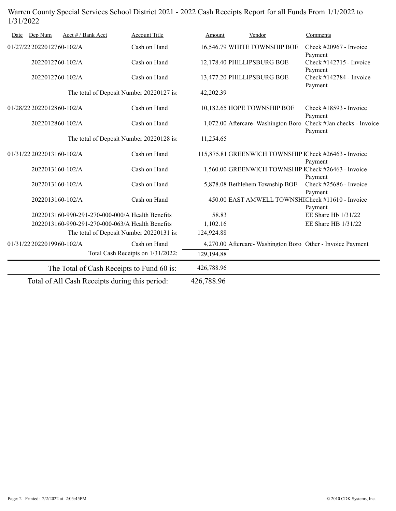# Warren County Special Services School District 2021 - 2022 Cash Receipts Report for all Funds From 1/1/2022 to 1/31/2022

| Date                                             | Dep Num                   | Acct # / Bank Acct |                                                  | <b>Account Title</b>                      | Amount                                                      | Vendor                                                      | Comments                               |
|--------------------------------------------------|---------------------------|--------------------|--------------------------------------------------|-------------------------------------------|-------------------------------------------------------------|-------------------------------------------------------------|----------------------------------------|
| 01/27/22 2022012760-102/A                        |                           |                    | Cash on Hand                                     |                                           | 16,546.79 WHITE TOWNSHIP BOE                                | Check #20967 - Invoice<br>Payment                           |                                        |
| 2022012760-102/A                                 |                           | Cash on Hand       |                                                  | 12,178.40 PHILLIPSBURG BOE                | Check #142715 - Invoice<br>Payment                          |                                                             |                                        |
|                                                  | 2022012760-102/A          |                    |                                                  | Cash on Hand                              |                                                             | 13,477.20 PHILLIPSBURG BOE                                  | Check $\#142784$ - Invoice<br>Payment  |
|                                                  |                           |                    |                                                  | The total of Deposit Number 20220127 is:  | 42,202.39                                                   |                                                             |                                        |
|                                                  | 01/28/22 2022012860-102/A |                    |                                                  | Cash on Hand                              |                                                             | 10,182.65 HOPE TOWNSHIP BOE                                 | Check #18593 - Invoice<br>Payment      |
|                                                  | 2022012860-102/A          |                    |                                                  | Cash on Hand                              |                                                             | 1,072.00 Aftercare-Washington Boro                          | Check #Jan checks - Invoice<br>Payment |
|                                                  |                           |                    |                                                  | The total of Deposit Number 20220128 is:  | 11,254.65                                                   |                                                             |                                        |
|                                                  | 01/31/22 2022013160-102/A |                    |                                                  | Cash on Hand                              |                                                             | 115,875.81 GREENWICH TOWNSHIP ICheck #26463 - Invoice       | Payment                                |
|                                                  | 2022013160-102/A          |                    |                                                  | Cash on Hand                              |                                                             | 1,560.00 GREENWICH TOWNSHIP ICheck #26463 - Invoice         | Payment                                |
|                                                  | 2022013160-102/A          |                    |                                                  | Cash on Hand                              |                                                             | 5,878.08 Bethlehem Township BOE                             | Check #25686 - Invoice<br>Payment      |
| 2022013160-102/A                                 |                           |                    | Cash on Hand                                     |                                           | 450.00 EAST AMWELL TOWNSHICheck #11610 - Invoice<br>Payment |                                                             |                                        |
|                                                  |                           |                    | 2022013160-990-291-270-000-000/A Health Benefits |                                           | 58.83                                                       |                                                             | EE Share Hb 1/31/22                    |
| 2022013160-990-291-270-000-063/A Health Benefits |                           |                    |                                                  |                                           | 1,102.16                                                    |                                                             | EE Share HB 1/31/22                    |
| The total of Deposit Number 20220131 is:         |                           |                    |                                                  |                                           | 124,924.88                                                  |                                                             |                                        |
|                                                  | 01/31/22 2022019960-102/A |                    |                                                  | Cash on Hand                              |                                                             | 4,270.00 Aftercare- Washington Boro Other - Invoice Payment |                                        |
|                                                  |                           |                    |                                                  | Total Cash Receipts on 1/31/2022:         | 129,194.88                                                  |                                                             |                                        |
|                                                  |                           |                    |                                                  | The Total of Cash Receipts to Fund 60 is: | 426,788.96                                                  |                                                             |                                        |
| Total of All Cash Receipts during this period:   |                           |                    | 426,788.96                                       |                                           |                                                             |                                                             |                                        |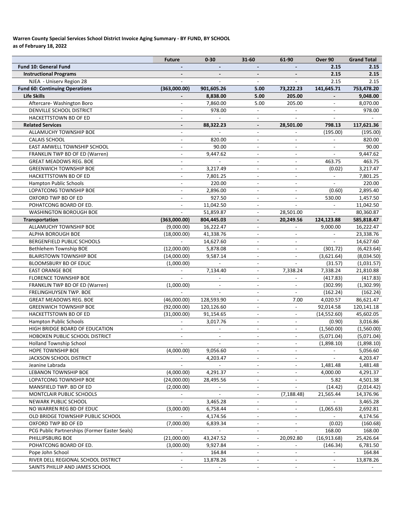## **Warren County Special Services School District Invoice Aging Summary ‐ BY FUND, BY SCHOOL as of February 18, 2022**

|                                               | <b>Future</b>            | $0 - 30$                 | 31-60                                      | 61-90                                                    | Over 90                  | <b>Grand Total</b> |
|-----------------------------------------------|--------------------------|--------------------------|--------------------------------------------|----------------------------------------------------------|--------------------------|--------------------|
| <b>Fund 10: General Fund</b>                  |                          |                          |                                            |                                                          | 2.15                     | 2.15               |
| <b>Instructional Programs</b>                 |                          |                          |                                            |                                                          | 2.15                     | 2.15               |
| NJEA - Uniserv Region 28                      |                          |                          |                                            |                                                          | 2.15                     | 2.15               |
| <b>Fund 60: Continuing Operations</b>         | (363,000.00)             | 901,605.26               | 5.00                                       | 73,222.23                                                | 141,645.71               | 753,478.20         |
| Life Skills                                   |                          | 8,838.00                 | 5.00                                       | 205.00                                                   |                          | 9,048.00           |
| Aftercare- Washington Boro                    |                          | 7,860.00                 | 5.00                                       | 205.00                                                   | $\overline{\phantom{a}}$ | 8,070.00           |
| DENVILLE SCHOOL DISTRICT                      | $\overline{\phantom{a}}$ | 978.00                   | $\blacksquare$                             | $\mathbf{r}$                                             | $\mathcal{L}$            | 978.00             |
| HACKETTSTOWN BD OF ED                         | $\overline{\phantom{a}}$ |                          | $\blacksquare$                             | $\overline{a}$                                           | $\overline{\phantom{a}}$ |                    |
| <b>Related Services</b>                       | $\overline{\phantom{a}}$ | 88,322.23                | $\overline{\phantom{a}}$                   | 28,501.00                                                | 798.13                   | 117,621.36         |
| ALLAMUCHY TOWNSHIP BOE                        | $\overline{\phantom{a}}$ |                          | $\overline{\phantom{a}}$                   |                                                          | (195.00)                 | (195.00)           |
| <b>CALAIS SCHOOL</b>                          | $\overline{\phantom{a}}$ | 820.00                   |                                            | $\overline{a}$                                           | $\overline{\phantom{a}}$ | 820.00             |
| EAST AMWELL TOWNSHIP SCHOOL                   | $\overline{\phantom{a}}$ | 90.00                    | $\blacksquare$                             | $\qquad \qquad \blacksquare$                             | $\overline{\phantom{a}}$ | 90.00              |
| FRANKLIN TWP BD OF ED (Warren)                | $\overline{a}$           | 9,447.62                 | $\overline{\phantom{a}}$                   | $\overline{a}$                                           |                          | 9,447.62           |
| <b>GREAT MEADOWS REG. BOE</b>                 |                          |                          |                                            |                                                          | 463.75                   | 463.75             |
| <b>GREENWICH TOWNSHIP BOE</b>                 | $\overline{\phantom{a}}$ | 3,217.49                 |                                            | $\overline{a}$                                           | (0.02)                   | 3,217.47           |
| HACKETTSTOWN BD OF ED                         | $\blacksquare$           | 7,801.25                 | $\blacksquare$                             | $\overline{\phantom{a}}$                                 | $\omega$                 | 7,801.25           |
| <b>Hampton Public Schools</b>                 | $\blacksquare$           | 220.00                   | $\blacksquare$                             | $\overline{\phantom{a}}$                                 | $\overline{\phantom{a}}$ | 220.00             |
| LOPATCONG TOWNSHIP BOE                        | $\overline{\phantom{a}}$ | 2,896.00                 | $\overline{\phantom{a}}$                   | $\overline{\phantom{a}}$                                 | (0.60)                   | 2,895.40           |
| OXFORD TWP BD OF ED                           |                          | 927.50                   |                                            | $\overline{a}$                                           | 530.00                   | 1,457.50           |
| POHATCONG BOARD OF ED.                        | $\overline{\phantom{a}}$ | 11,042.50                | $\blacksquare$                             | $\overline{\phantom{a}}$                                 | $\sim$                   | 11,042.50          |
| <b>WASHINGTON BOROUGH BOE</b>                 |                          | 51,859.87                |                                            | 28,501.00                                                |                          | 80,360.87          |
| <b>Transportation</b>                         | (363,000.00)             | 804,445.03               |                                            | 20,249.56                                                | 124,123.88               | 585,818.47         |
| ALLAMUCHY TOWNSHIP BOE                        | (9,000.00)               | 16,222.47                |                                            |                                                          | 9,000.00                 | 16,222.47          |
| ALPHA BOROUGH BOE                             | (18,000.00)              | 41,338.76                | $\overline{\phantom{a}}$                   | $\overline{a}$                                           | $\blacksquare$           | 23,338.76          |
| BERGENFIELD PUBLIC SCHOOLS                    |                          | 14,627.60                | $\blacksquare$                             | $\overline{\phantom{a}}$                                 | $\overline{\phantom{a}}$ | 14,627.60          |
| Bethlehem Township BOE                        | (12,000.00)              | 5,878.08                 | $\overline{\phantom{a}}$                   | $\overline{a}$                                           | (301.72)                 | (6,423.64)         |
| <b>BLAIRSTOWN TOWNSHIP BOE</b>                | (14,000.00)              | 9,587.14                 | $\overline{\phantom{a}}$                   | $\blacksquare$                                           | (3,621.64)               | (8,034.50)         |
| BLOOMSBURY BD OF EDUC                         | (1,000.00)               |                          |                                            |                                                          | (31.57)                  | (1,031.57)         |
| <b>EAST ORANGE BOE</b>                        | $\overline{\phantom{a}}$ | 7,134.40                 | $\overline{\phantom{a}}$                   | 7,338.24                                                 | 7,338.24                 | 21,810.88          |
| <b>FLORENCE TOWNSHIP BOE</b>                  |                          |                          | $\overline{\phantom{a}}$                   |                                                          | (417.83)                 | (417.83)           |
| FRANKLIN TWP BD OF ED (Warren)                | (1,000.00)               |                          | $\overline{\phantom{a}}$                   |                                                          | (302.99)                 | (1,302.99)         |
| FRELINGHUYSEN TWP. BOE                        |                          | $\overline{a}$           | $\overline{\phantom{a}}$                   | $\overline{a}$                                           | (162.24)                 | (162.24)           |
| <b>GREAT MEADOWS REG. BOE</b>                 | (46,000.00)              | 128,593.90               | $\overline{\phantom{a}}$                   | 7.00                                                     | 4,020.57                 | 86,621.47          |
| <b>GREENWICH TOWNSHIP BOE</b>                 | (92,000.00)              | 120,126.60               | $\overline{\phantom{a}}$                   | $\overline{\phantom{a}}$                                 | 92,014.58                | 120,141.18         |
| HACKETTSTOWN BD OF ED                         | (31,000.00)              | 91,154.65                | $\overline{\phantom{a}}$                   | $\blacksquare$                                           | (14, 552.60)             | 45,602.05          |
| <b>Hampton Public Schools</b>                 |                          | 3,017.76                 | $\overline{\phantom{a}}$                   | $\qquad \qquad \blacksquare$                             | (0.90)                   | 3,016.86           |
| HIGH BRIDGE BOARD OF EDUCATION                | $\overline{\phantom{a}}$ |                          | $\blacksquare$                             | $\overline{\phantom{a}}$                                 | (1,560.00)               | (1,560.00)         |
| HOBOKEN PUBLIC SCHOOL DISTRICT                |                          |                          |                                            |                                                          | (5,071.04)               | (5,071.04)         |
| <b>Holland Township School</b>                |                          |                          |                                            |                                                          | (1,898.10)               | (1,898.10)         |
| HOPE TOWNSHIP BOE                             | (4,000.00)               | 9,056.60                 |                                            |                                                          |                          | 5,056.60           |
| JACKSON SCHOOL DISTRICT                       | $\frac{1}{2}$            | 4,203.47                 | $\sim$                                     | $\overline{a}$                                           | $\overline{\phantom{a}}$ | 4,203.47           |
| Jeanine Labrada                               | $\overline{a}$           | $\blacksquare$           | $\blacksquare$                             | $\qquad \qquad \blacksquare$                             | 1,481.48                 | 1,481.48           |
| LEBANON TOWNSHIP BOE                          |                          |                          |                                            |                                                          |                          |                    |
| LOPATCONG TOWNSHIP BOE                        | (4,000.00)               | 4,291.37                 | $\blacksquare$<br>$\overline{\phantom{a}}$ | $\qquad \qquad \blacksquare$<br>$\overline{\phantom{a}}$ | 4,000.00                 | 4,291.37           |
|                                               | (24,000.00)              | 28,495.56                |                                            | $\qquad \qquad \blacksquare$                             | 5.82                     | 4,501.38           |
| MANSFIELD TWP. BD OF ED                       | (2,000.00)               | $\overline{\phantom{a}}$ | $\overline{\phantom{a}}$                   |                                                          | (14.42)                  | (2,014.42)         |
| MONTCLAIR PUBLIC SCHOOLS                      |                          |                          |                                            | (7, 188.48)                                              | 21,565.44                | 14,376.96          |
| NEWARK PUBLIC SCHOOL                          |                          | 3,465.28                 |                                            |                                                          |                          | 3,465.28           |
| NO WARREN REG BD OF EDUC                      | (3,000.00)               | 6,758.44                 |                                            |                                                          | (1,065.63)               | 2,692.81           |
| OLD BRIDGE TOWNSHIP PUBLIC SCHOOL             | $\blacksquare$           | 4,174.56                 |                                            | $\overline{a}$                                           | $\blacksquare$           | 4,174.56           |
| OXFORD TWP BD OF ED                           | (7,000.00)               | 6,839.34                 | $\overline{\phantom{a}}$                   | $\qquad \qquad \blacksquare$                             | (0.02)                   | (160.68)           |
| PCG Public Partnerships (Former Easter Seals) |                          |                          | $\overline{\phantom{a}}$                   |                                                          | 168.00                   | 168.00             |
| PHILLIPSBURG BOE                              | (21,000.00)              | 43,247.52                | $\blacksquare$                             | 20,092.80                                                | (16, 913.68)             | 25,426.64          |
| POHATCONG BOARD OF ED.                        | (3,000.00)               | 9,927.84                 |                                            | $\overline{\phantom{a}}$                                 | (146.34)                 | 6,781.50           |
| Pope John School                              | ٠                        | 164.84                   | $\blacksquare$                             | $\qquad \qquad \blacksquare$                             |                          | 164.84             |
| RIVER DELL REGIONAL SCHOOL DISTRICT           |                          | 13,878.26                |                                            | $\overline{a}$                                           |                          | 13,878.26          |
| SAINTS PHILLIP AND JAMES SCHOOL               |                          |                          |                                            |                                                          |                          |                    |